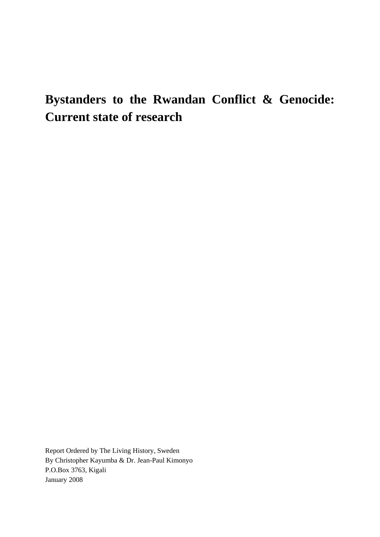# **Bystanders to the Rwandan Conflict & Genocide: Current state of research**

Report Ordered by The Living History, Sweden By Christopher Kayumba & Dr. Jean-Paul Kimonyo P.O.Box 3763, Kigali January 2008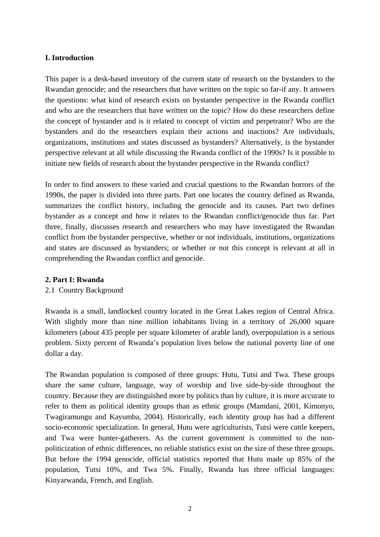# **I. Introduction**

This paper is a desk-based inventory of the current state of research on the bystanders to the Rwandan genocide; and the researchers that have written on the topic so far-if any. It answers the questions: what kind of research exists on bystander perspective in the Rwanda conflict and who are the researchers that have written on the topic? How do these researchers define the concept of bystander and is it related to concept of victim and perpetrator? Who are the bystanders and do the researchers explain their actions and inactions? Are individuals, organizations, institutions and states discussed as bystanders? Alternatively, is the bystander perspective relevant at all while discussing the Rwanda conflict of the 1990s? Is it possible to initiate new fields of research about the bystander perspective in the Rwanda conflict?

In order to find answers to these varied and crucial questions to the Rwandan horrors of the 1990s, the paper is divided into three parts. Part one locates the country defined as Rwanda, summarizes the conflict history, including the genocide and its causes. Part two defines bystander as a concept and how it relates to the Rwandan conflict/genocide thus far. Part three, finally, discusses research and researchers who may have investigated the Rwandan conflict from the bystander perspective, whether or not individuals, institutions, organizations and states are discussed as bystanders; or whether or not this concept is relevant at all in comprehending the Rwandan conflict and genocide.

#### **2. Part I: Rwanda**

# 2.1 Country Background

Rwanda is a small, landlocked country located in the Great Lakes region of Central Africa. With slightly more than nine million inhabitants living in a territory of 26,000 square kilometers (about 435 people per square kilometer of arable land), overpopulation is a serious problem. Sixty percent of Rwanda's population lives below the national poverty line of one dollar a day.

The Rwandan population is composed of three groups: Hutu, Tutsi and Twa. These groups share the same culture, language, way of worship and live side-by-side throughout the country. Because they are distinguished more by politics than by culture, it is more accurate to refer to them as political identity groups than as ethnic groups (Mamdani, 2001, Kimonyo, Twagiramungu and Kayumba, 2004). Historically, each identity group has had a different socio-economic specialization. In general, Hutu were agriculturists, Tutsi were cattle keepers, and Twa were hunter-gatherers. As the current government is committed to the nonpoliticization of ethnic differences, no reliable statistics exist on the size of these three groups. But before the 1994 genocide, official statistics reported that Hutu made up 85% of the population, Tutsi 10%, and Twa 5%. Finally, Rwanda has three official languages: Kinyarwanda, French, and English.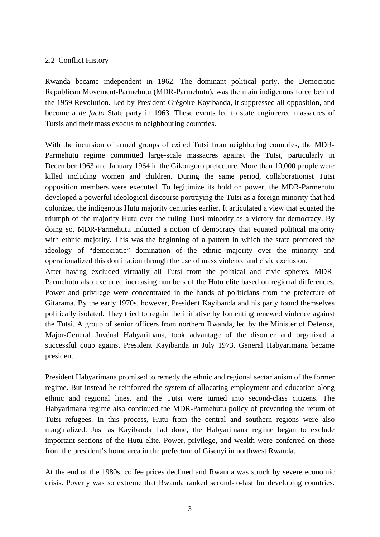# 2.2 Conflict History

Rwanda became independent in 1962. The dominant political party, the Democratic Republican Movement-Parmehutu (MDR-Parmehutu), was the main indigenous force behind the 1959 Revolution. Led by President Grégoire Kayibanda, it suppressed all opposition, and become a *de facto* State party in 1963. These events led to state engineered massacres of Tutsis and their mass exodus to neighbouring countries.

With the incursion of armed groups of exiled Tutsi from neighboring countries, the MDR-Parmehutu regime committed large-scale massacres against the Tutsi, particularly in December 1963 and January 1964 in the Gikongoro prefecture. More than 10,000 people were killed including women and children. During the same period, collaborationist Tutsi opposition members were executed. To legitimize its hold on power, the MDR-Parmehutu developed a powerful ideological discourse portraying the Tutsi as a foreign minority that had colonized the indigenous Hutu majority centuries earlier. It articulated a view that equated the triumph of the majority Hutu over the ruling Tutsi minority as a victory for democracy. By doing so, MDR-Parmehutu inducted a notion of democracy that equated political majority with ethnic majority. This was the beginning of a pattern in which the state promoted the ideology of "democratic" domination of the ethnic majority over the minority and operationalized this domination through the use of mass violence and civic exclusion.

After having excluded virtually all Tutsi from the political and civic spheres, MDR-Parmehutu also excluded increasing numbers of the Hutu elite based on regional differences. Power and privilege were concentrated in the hands of politicians from the prefecture of Gitarama. By the early 1970s, however, President Kayibanda and his party found themselves politically isolated. They tried to regain the initiative by fomenting renewed violence against the Tutsi. A group of senior officers from northern Rwanda, led by the Minister of Defense, Major-General Juvénal Habyarimana, took advantage of the disorder and organized a successful coup against President Kayibanda in July 1973. General Habyarimana became president.

President Habyarimana promised to remedy the ethnic and regional sectarianism of the former regime. But instead he reinforced the system of allocating employment and education along ethnic and regional lines, and the Tutsi were turned into second-class citizens. The Habyarimana regime also continued the MDR-Parmehutu policy of preventing the return of Tutsi refugees. In this process, Hutu from the central and southern regions were also marginalized. Just as Kayibanda had done, the Habyarimana regime began to exclude important sections of the Hutu elite. Power, privilege, and wealth were conferred on those from the president's home area in the prefecture of Gisenyi in northwest Rwanda.

At the end of the 1980s, coffee prices declined and Rwanda was struck by severe economic crisis. Poverty was so extreme that Rwanda ranked second-to-last for developing countries.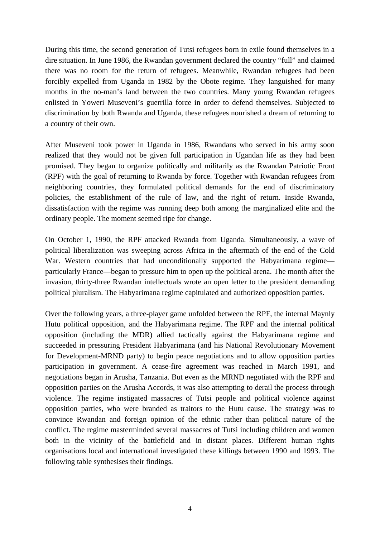During this time, the second generation of Tutsi refugees born in exile found themselves in a dire situation. In June 1986, the Rwandan government declared the country "full" and claimed there was no room for the return of refugees. Meanwhile, Rwandan refugees had been forcibly expelled from Uganda in 1982 by the Obote regime. They languished for many months in the no-man's land between the two countries. Many young Rwandan refugees enlisted in Yoweri Museveni's guerrilla force in order to defend themselves. Subjected to discrimination by both Rwanda and Uganda, these refugees nourished a dream of returning to a country of their own.

After Museveni took power in Uganda in 1986, Rwandans who served in his army soon realized that they would not be given full participation in Ugandan life as they had been promised. They began to organize politically and militarily as the Rwandan Patriotic Front (RPF) with the goal of returning to Rwanda by force. Together with Rwandan refugees from neighboring countries, they formulated political demands for the end of discriminatory policies, the establishment of the rule of law, and the right of return. Inside Rwanda, dissatisfaction with the regime was running deep both among the marginalized elite and the ordinary people. The moment seemed ripe for change.

On October 1, 1990, the RPF attacked Rwanda from Uganda. Simultaneously, a wave of political liberalization was sweeping across Africa in the aftermath of the end of the Cold War. Western countries that had unconditionally supported the Habyarimana regime particularly France—began to pressure him to open up the political arena. The month after the invasion, thirty-three Rwandan intellectuals wrote an open letter to the president demanding political pluralism. The Habyarimana regime capitulated and authorized opposition parties.

Over the following years, a three-player game unfolded between the RPF, the internal Maynly Hutu political opposition, and the Habyarimana regime. The RPF and the internal political opposition (including the MDR) allied tactically against the Habyarimana regime and succeeded in pressuring President Habyarimana (and his National Revolutionary Movement for Development-MRND party) to begin peace negotiations and to allow opposition parties participation in government. A cease-fire agreement was reached in March 1991, and negotiations began in Arusha, Tanzania. But even as the MRND negotiated with the RPF and opposition parties on the Arusha Accords, it was also attempting to derail the process through violence. The regime instigated massacres of Tutsi people and political violence against opposition parties, who were branded as traitors to the Hutu cause. The strategy was to convince Rwandan and foreign opinion of the ethnic rather than political nature of the conflict. The regime masterminded several massacres of Tutsi including children and women both in the vicinity of the battlefield and in distant places. Different human rights organisations local and international investigated these killings between 1990 and 1993. The following table synthesises their findings.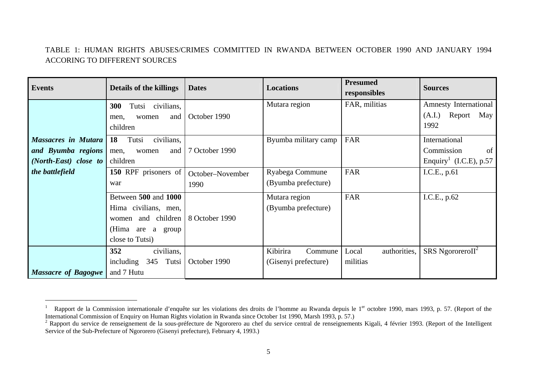# TABLE 1: HUMAN RIGHTS ABUSES/CRIMES COMMITTED IN RWANDA BETWEEN OCTOBER 1990 AND JANUARY 1994 ACCORING TO DIFFERENT SOURCES

| <b>Events</b>                                                             | <b>Details of the killings</b>                                                                                | <b>Dates</b>             | <b>Locations</b>                            | <b>Presumed</b><br>responsibles   | <b>Sources</b>                                                          |  |
|---------------------------------------------------------------------------|---------------------------------------------------------------------------------------------------------------|--------------------------|---------------------------------------------|-----------------------------------|-------------------------------------------------------------------------|--|
|                                                                           | 300<br>Tutsi civilians,<br>and<br>women<br>men,<br>children                                                   | October 1990             | Mutara region                               | FAR, militias                     | Amnesty International<br>Report May<br>(A.I.)<br>1992                   |  |
| <b>Massacres in Mutara</b><br>and Byumba regions<br>(North-East) close to | civilians,<br>18<br>Tutsi<br>and<br>women<br>men,<br>children                                                 | 7 October 1990           | Byumba military camp                        | FAR                               | International<br>Commission<br>of<br>Enquiry <sup>1</sup> (I.C.E), p.57 |  |
| the battlefield                                                           | 150 RPF prisoners of<br>war                                                                                   | October-November<br>1990 | Ryabega Commune<br>(Byumba prefecture)      | FAR                               | I.C.E., $p.61$                                                          |  |
|                                                                           | Between 500 and 1000<br>Hima civilians, men,<br>and children<br>women<br>(Hima are a group<br>close to Tutsi) | 8 October 1990           | Mutara region<br>(Byumba prefecture)        | FAR                               | I.C.E., $p.62$                                                          |  |
| <b>Massacre of Bagogwe</b>                                                | 352<br>civilians,<br>345 Tutsi<br>including<br>and 7 Hutu                                                     | October 1990             | Kibirira<br>Commune<br>(Gisenyi prefecture) | authorities,<br>Local<br>militias | $\overline{\text{SRS}}$ NgororeroII <sup>2</sup>                        |  |

Rapport de la Commission internationale d'enquête sur les violations des droits de l'homme au Rwanda depuis le 1<sup>er</sup> octobre 1990, mars 1993, p. 57. (Report of the International Commission of Enquiry on Human Rights violation in Rwanda since October 1st 1990, Marsh 1993, p. 57.)

<sup>&</sup>lt;sup>2</sup> Rapport du service de renseignement de la sous-préfecture de Ngororero au chef du service central de renseignements Kigali, 4 février 1993. (Report of the Intelligent Service of the Sub-Prefecture of Ngororero (Gisenyi prefecture), February 4, 1993.)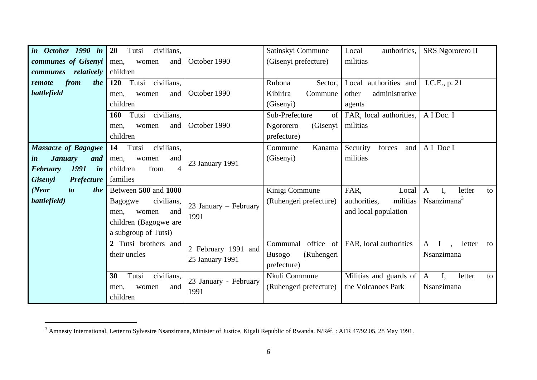| in October 1990 in                                 | <b>20</b><br>Tutsi<br>civilians,   |                       | Satinskyi Commune           | Local<br>authorities,     | SRS Ngororero II                              |  |
|----------------------------------------------------|------------------------------------|-----------------------|-----------------------------|---------------------------|-----------------------------------------------|--|
| communes of Gisenyi                                | and<br>men,<br>women               | October 1990          | (Gisenyi prefecture)        | militias                  |                                               |  |
| relatively<br>communes                             | children                           |                       |                             |                           |                                               |  |
| from<br>the<br>remote                              | <b>120</b><br>Tutsi<br>civilians,  |                       | Rubona<br>Sector,           | authorities and<br>Local  | I.C.E., p. 21                                 |  |
| battlefield                                        | and<br>men,<br>women               | October 1990          | Kibirira<br>Commune         | other<br>administrative   |                                               |  |
|                                                    | children                           |                       | (Gisenyi)                   | agents                    |                                               |  |
|                                                    | Tutsi<br>civilians,<br><b>160</b>  |                       | Sub-Prefecture<br>of        | FAR, local authorities,   | A I Doc. I                                    |  |
|                                                    | and<br>women<br>men,               | October 1990          | (Gisenyi<br>Ngororero       | militias                  |                                               |  |
|                                                    | children                           |                       | prefecture)                 |                           |                                               |  |
| <b>Massacre of Bagogwe</b>                         | Tutsi<br>civilians,<br>14          |                       | Kanama<br>Commune           | Security<br>forces<br>and | A I Doc I                                     |  |
| <b>January</b><br>$\boldsymbol{i}$ <i>n</i><br>and | and<br>men,<br>women               | 23 January 1991       | (Gisenyi)                   | militias                  |                                               |  |
| 1991<br>in<br><b>February</b>                      | $\overline{4}$<br>children<br>from |                       |                             |                           |                                               |  |
| <b>Gisenyi</b><br><b>Prefecture</b>                | families                           |                       |                             |                           |                                               |  |
| (Near)<br>$\boldsymbol{to}$<br>the                 | Between 500 and 1000               |                       | Kinigi Commune              | FAR,<br>Local             | I.<br>$\mathbf{A}$<br>letter<br>to            |  |
| battlefield)                                       | civilians,<br>Bagogwe              | 23 January – February | (Ruhengeri prefecture)      | militias<br>authorities,  | $N$ sanzimana <sup>3</sup>                    |  |
|                                                    | and<br>women<br>men,               | 1991                  |                             | and local population      |                                               |  |
|                                                    | children (Bagogwe are              |                       |                             |                           |                                               |  |
|                                                    | a subgroup of Tutsi)               |                       |                             |                           |                                               |  |
|                                                    | 2 Tutsi brothers and               | 2 February 1991 and   | office of<br>Communal       | FAR, local authorities    | $A$ I<br>letter<br>to<br>$\ddot{\phantom{a}}$ |  |
|                                                    | their uncles                       | 25 January 1991       | (Ruhengeri<br><b>Busogo</b> |                           | Nsanzimana                                    |  |
|                                                    |                                    |                       | prefecture)                 |                           |                                               |  |
|                                                    | 30<br>Tutsi<br>civilians,          | 23 January - February | Nkuli Commune               | Militias and guards of    | $I_{\star}$<br>$\mathbf{A}$<br>letter<br>to   |  |
|                                                    | and<br>men,<br>women               | 1991                  | (Ruhengeri prefecture)      | the Volcanoes Park        | Nsanzimana                                    |  |
|                                                    | children                           |                       |                             |                           |                                               |  |

<sup>&</sup>lt;sup>3</sup> Amnesty International, Letter to Sylvestre Nsanzimana, Minister of Justice, Kigali Republic of Rwanda. N/Réf. : AFR 47/92.05, 28 May 1991.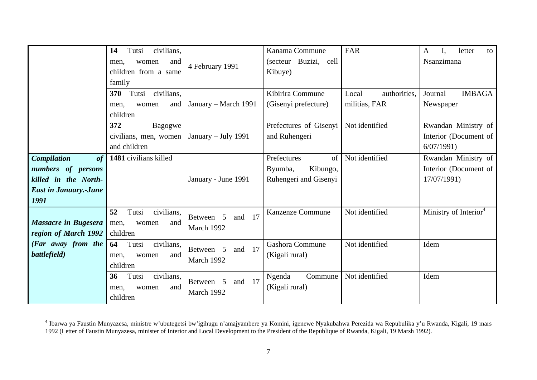|                              | civilians,<br>Tutsi<br>14      | 4 February 1991        | Kanama Commune         | FAR                   | letter<br>A<br>to                 |
|------------------------------|--------------------------------|------------------------|------------------------|-----------------------|-----------------------------------|
|                              | and<br>men,<br>women           |                        | (secteur Buzizi, cell  |                       | Nsanzimana                        |
|                              | children from a same           |                        | Kibuye)                |                       |                                   |
|                              | family                         |                        |                        |                       |                                   |
|                              | Tutsi civilians,<br><b>370</b> |                        | Kibirira Commune       | authorities,<br>Local | <b>IMBAGA</b><br>Journal          |
|                              | and<br>men,<br>women           | January – March 1991   | (Gisenyi prefecture)   | militias, FAR         | Newspaper                         |
|                              | children                       |                        |                        |                       |                                   |
|                              | 372<br>Bagogwe                 |                        | Prefectures of Gisenyi | Not identified        | Rwandan Ministry of               |
|                              | civilians, men, women          | January - July 1991    | and Ruhengeri          |                       | Interior (Document of             |
|                              | and children                   |                        |                        |                       | 6/07/1991                         |
| <b>Compilation</b><br>of     | 1481 civilians killed          |                        | Prefectures<br>of      | Not identified        | Rwandan Ministry of               |
| numbers of persons           |                                |                        | Kibungo,<br>Byumba,    |                       | Interior (Document of             |
| killed in the North-         |                                | January - June 1991    | Ruhengeri and Gisenyi  |                       | 17/07/1991)                       |
| <b>East in January.-June</b> |                                |                        |                        |                       |                                   |
| 1991                         |                                |                        |                        |                       |                                   |
|                              | 52<br>Tutsi<br>civilians,      | 17<br>Between 5<br>and | Kanzenze Commune       | Not identified        | Ministry of Interior <sup>4</sup> |
| Massacre in Bugesera         | and<br>men,<br>women           | March 1992             |                        |                       |                                   |
| region of March 1992         | children                       |                        |                        |                       |                                   |
| (Far away from the           | 64<br>Tutsi<br>civilians,      | and 17<br>Between 5    | Gashora Commune        | Not identified        | Idem                              |
| battlefield)                 | and<br>men,<br>women           | March 1992             | (Kigali rural)         |                       |                                   |
|                              | children                       |                        |                        |                       |                                   |
|                              | civilians,<br>36<br>Tutsi      | 17<br>Between 5<br>and | Commune<br>Ngenda      | Not identified        | Idem                              |
|                              | and<br>women<br>men,           | March 1992             | (Kigali rural)         |                       |                                   |
|                              | children                       |                        |                        |                       |                                   |

<sup>&</sup>lt;sup>4</sup> Ibarwa ya Faustin Munyazesa, ministre w'ubutegetsi bw'igihugu n'amajyambere ya Komini, igenewe Nyakubahwa Perezida wa Repubulika y'u Rwanda, Kigali, 19 mars 1992 (Letter of Faustin Munyazesa, minister of Interior and Local Development to the President of the Republique of Rwanda, Kigali, 19 Marsh 1992).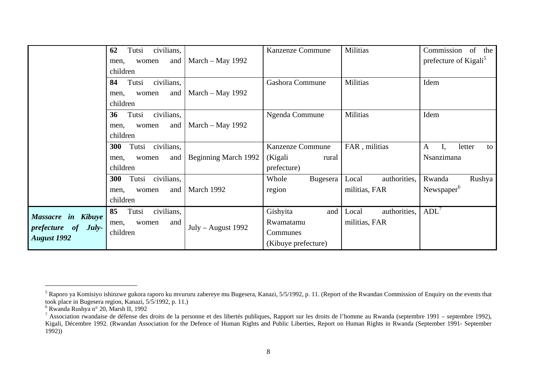|                                                                             | civilians,<br>62<br>Tutsi<br>and<br>women<br>men,<br>children         | March – May 1992            | Kanzenze Commune                                                | Militias                               | Commission of the<br>prefecture of Kigali <sup>5</sup> |
|-----------------------------------------------------------------------------|-----------------------------------------------------------------------|-----------------------------|-----------------------------------------------------------------|----------------------------------------|--------------------------------------------------------|
|                                                                             | Tutsi<br>civilians,<br>84<br>and<br>women<br>men,<br>children         | March $-$ May 1992          | <b>Gashora Commune</b>                                          | <b>Militias</b>                        | Idem                                                   |
|                                                                             | civilians,<br>Tutsi<br>36<br>and<br>women<br>men,<br>children         | March $-$ May 1992          | Ngenda Commune                                                  | Militias                               | Idem                                                   |
|                                                                             | civilians,<br><b>300</b><br>Tutsi<br>and<br>women<br>men,<br>children | <b>Beginning March 1992</b> | <b>Kanzenze Commune</b><br>(Kigali<br>rural<br>prefecture)      | FAR, militias                          | letter<br>$\mathbf{A}$<br>to<br>Nsanzimana             |
|                                                                             | civilians,<br><b>300</b><br>Tutsi<br>and<br>women<br>men,<br>children | March 1992                  | Bugesera<br>Whole<br>region                                     | authorities,<br>Local<br>militias, FAR | Rushya<br>Rwanda<br>Newspaper <sup>6</sup>             |
| Massacre in Kibuye<br><i>prefecture</i> of<br>$July-$<br><b>August 1992</b> | 85<br>Tutsi<br>civilians,<br>and<br>women<br>men,<br>children         | $July - August 1992$        | Gishyita<br>and<br>Rwamatamu<br>Communes<br>(Kibuye prefecture) | authorities,<br>Local<br>militias, FAR | ADL'                                                   |

<sup>&</sup>lt;sup>5</sup> Raporo ya Komisiyo ishinzwe gukora raporo ku mvururu zabereye mu Bugesera, Kanazi, 5/5/1992, p. 11. (Report of the Rwandan Commission of Enquiry on the events that took place in Bugesera region, Kanazi, 5/5/1992, p. 11.)

<sup>6</sup> Rwanda Rushya n° 20, Marsh II, 1992

<sup>&</sup>lt;sup>7</sup> Association rwandaise de défense des droits de la personne et des libertés publiques, Rapport sur les droits de l'homme au Rwanda (septembre 1991 – septembre 1992), Kigali, Décembre 1992. (Rwandan Association for the Defence of Human Rights and Public Liberties, Report on Human Rights in Rwanda (September 1991- September  $1992)$ )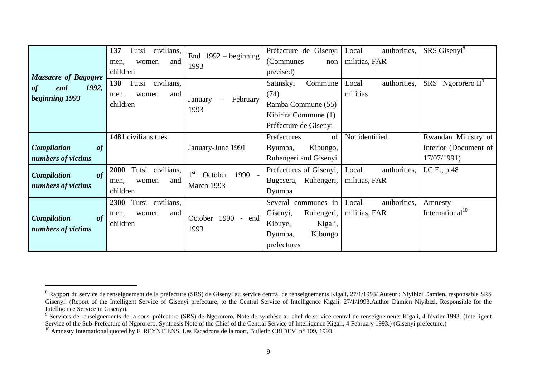| <b>Massacre of Bagogwe</b><br>1992,<br>end<br>of<br>beginning 1993 | 137<br>civilians,<br>Tutsi<br>and<br>women<br>men,<br>children      | End $1992 -$ beginning<br>1993                          | Préfecture de Gisenyi<br>(Communes)<br>non<br>precised)                                                     | authorities,<br>Local<br>militias, FAR | SRS Gisenyi <sup>8</sup>                                    |
|--------------------------------------------------------------------|---------------------------------------------------------------------|---------------------------------------------------------|-------------------------------------------------------------------------------------------------------------|----------------------------------------|-------------------------------------------------------------|
|                                                                    | 130<br>civilians,<br>Tutsi<br>men.<br>women<br>and<br>children      | January<br>February<br>$\overline{\phantom{0}}$<br>1993 | Satinskyi<br>Commune<br>(74)<br>Ramba Commune (55)<br>Kibirira Commune (1)<br>Préfecture de Gisenyi         | authorities,<br>Local<br>militias      | SRS Ngororero II <sup>9</sup>                               |
| <b>Compilation</b><br>of<br>numbers of victims                     | 1481 civilians tués                                                 | January-June 1991                                       | Prefectures<br>of<br>Byumba,<br>Kibungo,<br>Ruhengeri and Gisenyi                                           | Not identified                         | Rwandan Ministry of<br>Interior (Document of<br>17/07/1991) |
| of<br><b>Compilation</b><br>numbers of victims                     | Tutsi civilians,<br>2000<br>and<br>women<br>men,<br>children        | 1 <sup>st</sup><br>1990 -<br>October<br>March 1993      | Prefectures of Gisenyi,<br>Ruhengeri,<br>Bugesera,<br><b>Byumba</b>                                         | authorities,<br>Local<br>militias, FAR | I.C.E., p.48                                                |
| <b>Compilation</b><br>of<br>numbers of victims                     | Tutsi civilians,<br><b>2300</b><br>and<br>men,<br>women<br>children | 1990 - end<br>October<br>1993                           | communes in<br>Several<br>Gisenyi,<br>Ruhengeri,<br>Kigali,<br>Kibuye,<br>Kibungo<br>Byumba,<br>prefectures | authorities,<br>Local<br>militias, FAR | Amnesty<br>International <sup>10</sup>                      |

<sup>&</sup>lt;sup>8</sup> Rapport du service de renseignement de la préfecture (SRS) de Gisenyi au service central de renseignements Kigali, 27/1/1993/ Auteur : Niyibizi Damien, responsable SRS Gisenyi. (Report of the Intelligent Service of Gisenyi prefecture, to the Central Service of Intelligence Kigali, 27/1/1993.Author Damien Niyibizi, Responsible for the Intelligence Service in Gisenyi).

<sup>&</sup>lt;sup>9</sup> Services de renseignements de la sous–préfecture (SRS) de Ngororero, Note de synthèse au chef de service central de renseignements Kigali, 4 février 1993. (Intelligent Service of the Sub-Prefecture of Ngororero, Synthesis Note of the Chief of the Central Service of Intelligence Kigali, 4 February 1993.) (Gisenyi prefecture.)

<sup>&</sup>lt;sup>10</sup> Amnesty International quoted by F. REYNTJENS, Les Escadrons de la mort, Bulletin CRIDEV n° 109, 1993.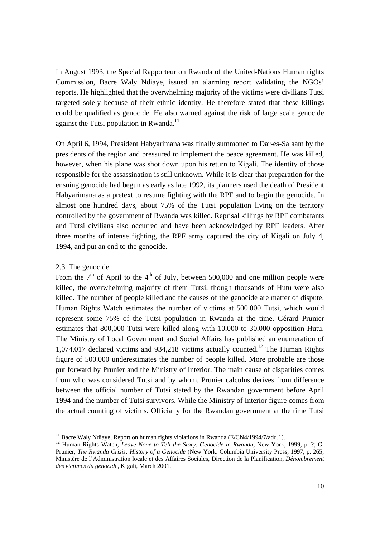In August 1993, the Special Rapporteur on Rwanda of the United-Nations Human rights Commission, Bacre Waly Ndiaye, issued an alarming report validating the NGOs' reports. He highlighted that the overwhelming majority of the victims were civilians Tutsi targeted solely because of their ethnic identity. He therefore stated that these killings could be qualified as genocide. He also warned against the risk of large scale genocide against the Tutsi population in Rwanda.<sup>11</sup>

On April 6, 1994, President Habyarimana was finally summoned to Dar-es-Salaam by the presidents of the region and pressured to implement the peace agreement. He was killed, however, when his plane was shot down upon his return to Kigali. The identity of those responsible for the assassination is still unknown. While it is clear that preparation for the ensuing genocide had begun as early as late 1992, its planners used the death of President Habyarimana as a pretext to resume fighting with the RPF and to begin the genocide. In almost one hundred days, about 75% of the Tutsi population living on the territory controlled by the government of Rwanda was killed. Reprisal killings by RPF combatants and Tutsi civilians also occurred and have been acknowledged by RPF leaders. After three months of intense fighting, the RPF army captured the city of Kigali on July 4, 1994, and put an end to the genocide.

#### 2.3 The genocide

1

From the  $7<sup>th</sup>$  of April to the  $4<sup>th</sup>$  of July, between 500,000 and one million people were killed, the overwhelming majority of them Tutsi, though thousands of Hutu were also killed. The number of people killed and the causes of the genocide are matter of dispute. Human Rights Watch estimates the number of victims at 500,000 Tutsi, which would represent some 75% of the Tutsi population in Rwanda at the time. Gérard Prunier estimates that 800,000 Tutsi were killed along with 10,000 to 30,000 opposition Hutu. The Ministry of Local Government and Social Affairs has published an enumeration of  $1,074,017$  declared victims and 934,218 victims actually counted.<sup>12</sup> The Human Rights figure of 500.000 underestimates the number of people killed. More probable are those put forward by Prunier and the Ministry of Interior. The main cause of disparities comes from who was considered Tutsi and by whom. Prunier calculus derives from difference between the official number of Tutsi stated by the Rwandan government before April 1994 and the number of Tutsi survivors. While the Ministry of Interior figure comes from the actual counting of victims. Officially for the Rwandan government at the time Tutsi

<sup>&</sup>lt;sup>11</sup> Bacre Waly Ndiaye, Report on human rights violations in Rwanda (E/CN4/1994/7/add.1).<br><sup>12</sup> Human Rights Watch, *Leave None to Tell the Story. Genocide in Rwanda*, New York, 1999, p. ?; G. Prunier, *The Rwanda Crisis: History of a Genocide* (New York: Columbia University Press, 1997, p. 265; Ministère de l'Administration locale et des Affaires Sociales, Direction de la Planification, *Dénombrement des victimes du génocide*, Kigali, March 2001.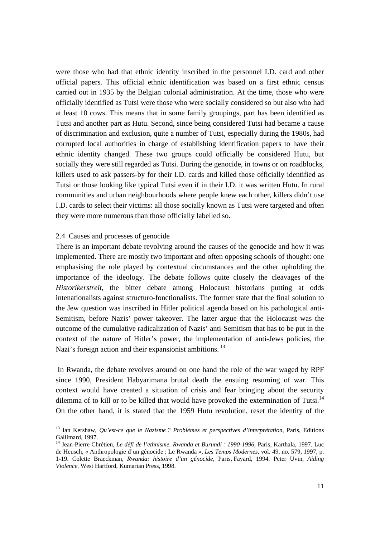were those who had that ethnic identity inscribed in the personnel I.D. card and other official papers. This official ethnic identification was based on a first ethnic census carried out in 1935 by the Belgian colonial administration. At the time, those who were officially identified as Tutsi were those who were socially considered so but also who had at least 10 cows. This means that in some family groupings, part has been identified as Tutsi and another part as Hutu. Second, since being considered Tutsi had became a cause of discrimination and exclusion, quite a number of Tutsi, especially during the 1980s, had corrupted local authorities in charge of establishing identification papers to have their ethnic identity changed. These two groups could officially be considered Hutu, but socially they were still regarded as Tutsi. During the genocide, in towns or on roadblocks, killers used to ask passers-by for their I.D. cards and killed those officially identified as Tutsi or those looking like typical Tutsi even if in their I.D. it was written Hutu. In rural communities and urban neighbourhoods where people knew each other, killers didn't use I.D. cards to select their victims: all those socially known as Tutsi were targeted and often they were more numerous than those officially labelled so.

#### 2.4 Causes and processes of genocide

1

There is an important debate revolving around the causes of the genocide and how it was implemented. There are mostly two important and often opposing schools of thought: one emphasising the role played by contextual circumstances and the other upholding the importance of the ideology. The debate follows quite closely the cleavages of the *Historikerstreit,* the bitter debate among Holocaust historians putting at odds intenationalists against structuro-fonctionalists. The former state that the final solution to the Jew question was inscribed in Hitler political agenda based on his pathological anti-Semitism, before Nazis' power takeover. The latter argue that the Holocaust was the outcome of the cumulative radicalization of Nazis' anti-Semitism that has to be put in the context of the nature of Hitler's power, the implementation of anti-Jews policies, the Nazi's foreign action and their expansionist ambitions.<sup>13</sup>

 In Rwanda, the debate revolves around on one hand the role of the war waged by RPF since 1990, President Habyarimana brutal death the ensuing resuming of war. This context would have created a situation of crisis and fear bringing about the security dilemma of to kill or to be killed that would have provoked the extermination of Tutsi.<sup>14</sup> On the other hand, it is stated that the 1959 Hutu revolution, reset the identity of the

<sup>13</sup> Ian Kershaw, *Qu'est-ce que le Nazisme ? Problèmes et perspectives d'interprétation*, Paris, Editions Gallimard, 1997.

<sup>14</sup> Jean-Pierre Chrétien, *Le défi de l'ethnisme. Rwanda et Burundi : 1990-1996,* Paris, Karthala, 1997. Luc de Heusch, « Anthropologie d'un génocide : Le Rwanda », *Les Temps Modernes,* vol. 49, no. 579, 1997, p. 1-19. Colette Braeckman, *Rwanda: histoire d'un génocide*, Paris, Fayard, 1994. Peter Uvin, *Aiding Violence*, West Hartford, Kumarian Press, 1998.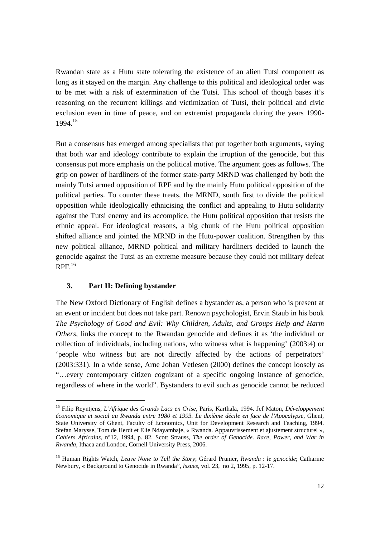Rwandan state as a Hutu state tolerating the existence of an alien Tutsi component as long as it stayed on the margin. Any challenge to this political and ideological order was to be met with a risk of extermination of the Tutsi. This school of though bases it's reasoning on the recurrent killings and victimization of Tutsi, their political and civic exclusion even in time of peace, and on extremist propaganda during the years 1990- 1994.15

But a consensus has emerged among specialists that put together both arguments, saying that both war and ideology contribute to explain the irruption of the genocide, but this consensus put more emphasis on the political motive. The argument goes as follows. The grip on power of hardliners of the former state-party MRND was challenged by both the mainly Tutsi armed opposition of RPF and by the mainly Hutu political opposition of the political parties. To counter these treats, the MRND, south first to divide the political opposition while ideologically ethnicising the conflict and appealing to Hutu solidarity against the Tutsi enemy and its accomplice, the Hutu political opposition that resists the ethnic appeal. For ideological reasons, a big chunk of the Hutu political opposition shifted alliance and jointed the MRND in the Hutu-power coalition. Strengthen by this new political alliance, MRND political and military hardliners decided to launch the genocide against the Tutsi as an extreme measure because they could not military defeat  $RPF<sup>16</sup>$ 

#### **3. Part II: Defining bystander**

1

The New Oxford Dictionary of English defines a bystander as, a person who is present at an event or incident but does not take part. Renown psychologist, Ervin Staub in his book *The Psychology of Good and Evil: Why Children, Adults, and Groups Help and Harm Others*, links the concept to the Rwandan genocide and defines it as 'the individual or collection of individuals, including nations, who witness what is happening' (2003:4) or 'people who witness but are not directly affected by the actions of perpetrators' (2003:331). In a wide sense, Arne Johan Vetlesen (2000) defines the concept loosely as "…every contemporary citizen cognizant of a specific ongoing instance of genocide, regardless of where in the world". Bystanders to evil such as genocide cannot be reduced

<sup>15</sup> Filip Reyntjens, *L'Afrique des Grands Lacs en Crise*, Paris, Karthala, 1994. Jef Maton, *Développement économique et social au Rwanda entre 1980 et 1993. Le dixième décile en face de l'Apocalypse,* Ghent, State University of Ghent, Faculty of Economics, Unit for Development Research and Teaching, 1994. Stefan Marysse, Tom de Herdt et Elie Ndayambaje, « Rwanda. Appauvrissement et ajustement structurel », *Cahiers Africains*, n°12, 1994, p. 82. Scott Strauss, *The order of Genocide. Race, Power, and War in Rwanda*, Ithaca and London, Cornell University Press, 2006.

<sup>16</sup> Human Rights Watch, *Leave None to Tell the Story*; Gérard Prunier*, Rwanda : le genocide*; Catharine Newbury, « Background to Genocide in Rwanda", *Issues,* vol. 23, no 2, 1995, p. 12-17.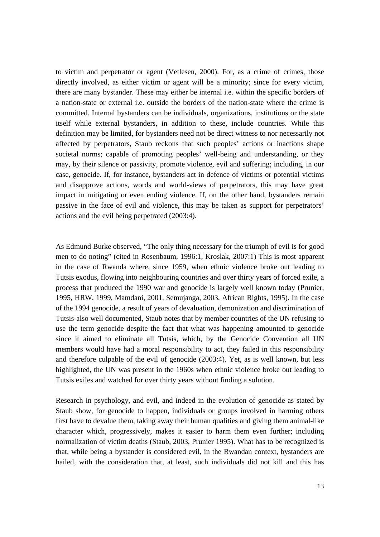to victim and perpetrator or agent (Vetlesen, 2000). For, as a crime of crimes, those directly involved, as either victim or agent will be a minority; since for every victim, there are many bystander. These may either be internal i.e. within the specific borders of a nation-state or external i.e. outside the borders of the nation-state where the crime is committed. Internal bystanders can be individuals, organizations, institutions or the state itself while external bystanders, in addition to these, include countries. While this definition may be limited, for bystanders need not be direct witness to nor necessarily not affected by perpetrators, Staub reckons that such peoples' actions or inactions shape societal norms; capable of promoting peoples' well-being and understanding, or they may, by their silence or passivity, promote violence, evil and suffering; including, in our case, genocide. If, for instance, bystanders act in defence of victims or potential victims and disapprove actions, words and world-views of perpetrators, this may have great impact in mitigating or even ending violence. If, on the other hand, bystanders remain passive in the face of evil and violence, this may be taken as support for perpetrators' actions and the evil being perpetrated (2003:4).

As Edmund Burke observed, "The only thing necessary for the triumph of evil is for good men to do noting" (cited in Rosenbaum, 1996:1, Kroslak, 2007:1) This is most apparent in the case of Rwanda where, since 1959, when ethnic violence broke out leading to Tutsis exodus, flowing into neighbouring countries and over thirty years of forced exile, a process that produced the 1990 war and genocide is largely well known today (Prunier, 1995, HRW, 1999, Mamdani, 2001, Semujanga, 2003, African Rights, 1995). In the case of the 1994 genocide, a result of years of devaluation, demonization and discrimination of Tutsis-also well documented, Staub notes that by member countries of the UN refusing to use the term genocide despite the fact that what was happening amounted to genocide since it aimed to eliminate all Tutsis, which, by the Genocide Convention all UN members would have had a moral responsibility to act, they failed in this responsibility and therefore culpable of the evil of genocide (2003:4). Yet, as is well known, but less highlighted, the UN was present in the 1960s when ethnic violence broke out leading to Tutsis exiles and watched for over thirty years without finding a solution.

Research in psychology, and evil, and indeed in the evolution of genocide as stated by Staub show, for genocide to happen, individuals or groups involved in harming others first have to devalue them, taking away their human qualities and giving them animal-like character which, progressively, makes it easier to harm them even further; including normalization of victim deaths (Staub, 2003, Prunier 1995). What has to be recognized is that, while being a bystander is considered evil, in the Rwandan context, bystanders are hailed, with the consideration that, at least, such individuals did not kill and this has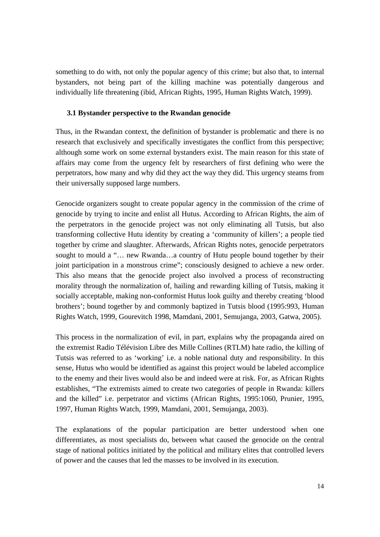something to do with, not only the popular agency of this crime; but also that, to internal bystanders, not being part of the killing machine was potentially dangerous and individually life threatening (ibid, African Rights, 1995, Human Rights Watch, 1999).

#### **3.1 Bystander perspective to the Rwandan genocide**

Thus, in the Rwandan context, the definition of bystander is problematic and there is no research that exclusively and specifically investigates the conflict from this perspective; although some work on some external bystanders exist. The main reason for this state of affairs may come from the urgency felt by researchers of first defining who were the perpetrators, how many and why did they act the way they did. This urgency steams from their universally supposed large numbers.

Genocide organizers sought to create popular agency in the commission of the crime of genocide by trying to incite and enlist all Hutus. According to African Rights, the aim of the perpetrators in the genocide project was not only eliminating all Tutsis, but also transforming collective Hutu identity by creating a 'community of killers'; a people tied together by crime and slaughter. Afterwards, African Rights notes, genocide perpetrators sought to mould a "… new Rwanda…a country of Hutu people bound together by their joint participation in a monstrous crime"; consciously designed to achieve a new order. This also means that the genocide project also involved a process of reconstructing morality through the normalization of, hailing and rewarding killing of Tutsis, making it socially acceptable, making non-conformist Hutus look guilty and thereby creating 'blood brothers'; bound together by and commonly baptized in Tutsis blood (1995:993, Human Rights Watch, 1999, Gourevitch 1998, Mamdani, 2001, Semujanga, 2003, Gatwa, 2005).

This process in the normalization of evil, in part, explains why the propaganda aired on the extremist Radio Télévision Libre des Mille Collines (RTLM) hate radio, the killing of Tutsis was referred to as 'working' i.e. a noble national duty and responsibility. In this sense, Hutus who would be identified as against this project would be labeled accomplice to the enemy and their lives would also be and indeed were at risk. For, as African Rights establishes, "The extremists aimed to create two categories of people in Rwanda: killers and the killed" i.e. perpetrator and victims (African Rights, 1995:1060, Prunier, 1995, 1997, Human Rights Watch, 1999, Mamdani, 2001, Semujanga, 2003).

The explanations of the popular participation are better understood when one differentiates, as most specialists do, between what caused the genocide on the central stage of national politics initiated by the political and military elites that controlled levers of power and the causes that led the masses to be involved in its execution.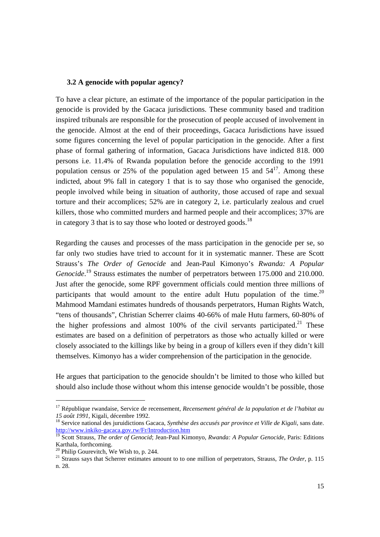#### **3.2 A genocide with popular agency?**

To have a clear picture, an estimate of the importance of the popular participation in the genocide is provided by the Gacaca jurisdictions. These community based and tradition inspired tribunals are responsible for the prosecution of people accused of involvement in the genocide. Almost at the end of their proceedings, Gacaca Jurisdictions have issued some figures concerning the level of popular participation in the genocide. After a first phase of formal gathering of information, Gacaca Jurisdictions have indicted 818. 000 persons i.e. 11.4% of Rwanda population before the genocide according to the 1991 population census or 25% of the population aged between 15 and  $54^{17}$ . Among these indicted, about 9% fall in category 1 that is to say those who organised the genocide, people involved while being in situation of authority, those accused of rape and sexual torture and their accomplices; 52% are in category 2, i.e. particularly zealous and cruel killers, those who committed murders and harmed people and their accomplices; 37% are in category 3 that is to say those who looted or destroyed goods.<sup>18</sup>

Regarding the causes and processes of the mass participation in the genocide per se, so far only two studies have tried to account for it in systematic manner. These are Scott Strauss's *The Order of Genocide* and Jean-Paul Kimonyo's *Rwanda: A Popular*  Genocide.<sup>19</sup> Strauss estimates the number of perpetrators between 175.000 and 210.000. Just after the genocide, some RPF government officials could mention three millions of participants that would amount to the entire adult Hutu population of the time.<sup>20</sup> Mahmood Mamdani estimates hundreds of thousands perpetrators, Human Rights Watch, "tens of thousands", Christian Scherrer claims 40-66% of male Hutu farmers, 60-80% of the higher professions and almost  $100\%$  of the civil servants participated.<sup>21</sup> These estimates are based on a definition of perpetrators as those who actually killed or were closely associated to the killings like by being in a group of killers even if they didn't kill themselves. Kimonyo has a wider comprehension of the participation in the genocide.

He argues that participation to the genocide shouldn't be limited to those who killed but should also include those without whom this intense genocide wouldn't be possible, those

1

<sup>17</sup> République rwandaise, Service de recensement, *Recensement général de la population et de l'habitat au 15 août 1991*, Kigali, décembre 1992.<br><sup>18</sup> Service national des juruidictions Gacaca, *Synthèse des accusés par province et Ville de Kigali*, sans date.

http://www.inkiko-gacaca.gov.rw/Fr/Introduction.htm

<sup>19</sup> Scott Strauss, *The order of Genocid*; Jean-Paul Kimonyo, *Rwanda: A Popular Genocide*, Paris: Editions Karthala, forthcoming.

 $20$  Philip Gourevitch, We Wish to, p. 244.

<sup>&</sup>lt;sup>21</sup> Strauss says that Scherrer estimates amount to to one million of perpetrators, Strauss, *The Order*, p. 115 n. 28.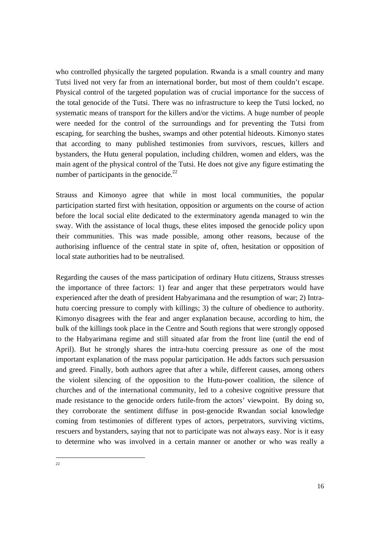who controlled physically the targeted population. Rwanda is a small country and many Tutsi lived not very far from an international border, but most of them couldn't escape. Physical control of the targeted population was of crucial importance for the success of the total genocide of the Tutsi. There was no infrastructure to keep the Tutsi locked, no systematic means of transport for the killers and/or the victims. A huge number of people were needed for the control of the surroundings and for preventing the Tutsi from escaping, for searching the bushes, swamps and other potential hideouts. Kimonyo states that according to many published testimonies from survivors, rescues, killers and bystanders, the Hutu general population, including children, women and elders, was the main agent of the physical control of the Tutsi. He does not give any figure estimating the number of participants in the genocide. $^{22}$ 

Strauss and Kimonyo agree that while in most local communities, the popular participation started first with hesitation, opposition or arguments on the course of action before the local social elite dedicated to the exterminatory agenda managed to win the sway. With the assistance of local thugs, these elites imposed the genocide policy upon their communities. This was made possible, among other reasons, because of the authorising influence of the central state in spite of, often, hesitation or opposition of local state authorities had to be neutralised.

Regarding the causes of the mass participation of ordinary Hutu citizens, Strauss stresses the importance of three factors: 1) fear and anger that these perpetrators would have experienced after the death of president Habyarimana and the resumption of war; 2) Intrahutu coercing pressure to comply with killings; 3) the culture of obedience to authority. Kimonyo disagrees with the fear and anger explanation because, according to him, the bulk of the killings took place in the Centre and South regions that were strongly opposed to the Habyarimana regime and still situated afar from the front line (until the end of April). But he strongly shares the intra-hutu coercing pressure as one of the most important explanation of the mass popular participation. He adds factors such persuasion and greed. Finally, both authors agree that after a while, different causes, among others the violent silencing of the opposition to the Hutu-power coalition, the silence of churches and of the international community, led to a cohesive cognitive pressure that made resistance to the genocide orders futile-from the actors' viewpoint. By doing so, they corroborate the sentiment diffuse in post-genocide Rwandan social knowledge coming from testimonies of different types of actors, perpetrators, surviving victims, rescuers and bystanders, saying that not to participate was not always easy. Nor is it easy to determine who was involved in a certain manner or another or who was really a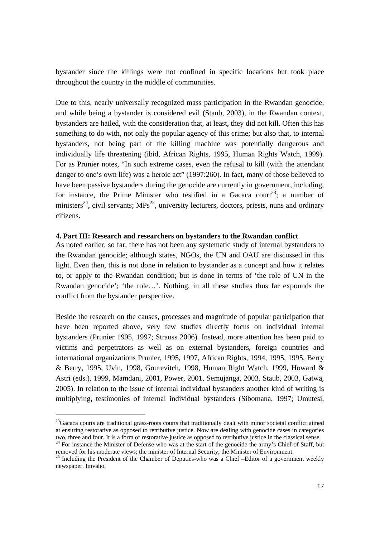bystander since the killings were not confined in specific locations but took place throughout the country in the middle of communities.

Due to this, nearly universally recognized mass participation in the Rwandan genocide, and while being a bystander is considered evil (Staub, 2003), in the Rwandan context, bystanders are hailed, with the consideration that, at least, they did not kill. Often this has something to do with, not only the popular agency of this crime; but also that, to internal bystanders, not being part of the killing machine was potentially dangerous and individually life threatening (ibid, African Rights, 1995, Human Rights Watch, 1999). For as Prunier notes, "In such extreme cases, even the refusal to kill (with the attendant danger to one's own life) was a heroic act" (1997:260). In fact, many of those believed to have been passive bystanders during the genocide are currently in government, including, for instance, the Prime Minister who testified in a Gacaca court<sup>23</sup>; a number of ministers<sup>24</sup>, civil servants;  $MPs^{25}$ , university lecturers, doctors, priests, nuns and ordinary citizens.

#### **4. Part III: Research and researchers on bystanders to the Rwandan conflict**

As noted earlier, so far, there has not been any systematic study of internal bystanders to the Rwandan genocide; although states, NGOs, the UN and OAU are discussed in this light. Even then, this is not done in relation to bystander as a concept and how it relates to, or apply to the Rwandan condition; but is done in terms of 'the role of UN in the Rwandan genocide'; 'the role…'. Nothing, in all these studies thus far expounds the conflict from the bystander perspective.

Beside the research on the causes, processes and magnitude of popular participation that have been reported above, very few studies directly focus on individual internal bystanders (Prunier 1995, 1997; Strauss 2006). Instead, more attention has been paid to victims and perpetrators as well as on external bystanders, foreign countries and international organizations Prunier, 1995, 1997, African Rights, 1994, 1995, 1995, Berry & Berry, 1995, Uvin, 1998, Gourevitch, 1998, Human Right Watch, 1999, Howard & Astri (eds.), 1999, Mamdani, 2001, Power, 2001, Semujanga, 2003, Staub, 2003, Gatwa, 2005). In relation to the issue of internal individual bystanders another kind of writing is multiplying, testimonies of internal individual bystanders (Sibomana, 1997; Umutesi,

-

<sup>&</sup>lt;sup>23</sup>Gacaca courts are traditional grass-roots courts that traditionally dealt with minor societal conflict aimed at ensuring restorative as opposed to retributive justice. Now are dealing with genocide cases in categories two, three and four. It is a form of restorative justice as opposed to retributive justice in the classical sense.

<sup>&</sup>lt;sup>24</sup> For instance the Minister of Defense who was at the start of the genocide the army's Chief-of Staff, but removed for his moderate views; the minister of Internal Security, the Minister of Environment.

<sup>&</sup>lt;sup>25</sup> Including the President of the Chamber of Deputies-who was a Chief –Editor of a government weekly newspaper, Imvaho.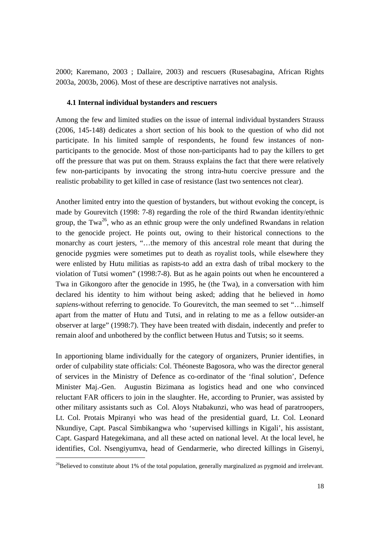2000; Karemano, 2003 ; Dallaire, 2003) and rescuers (Rusesabagina, African Rights 2003a, 2003b, 2006). Most of these are descriptive narratives not analysis.

#### **4.1 Internal individual bystanders and rescuers**

Among the few and limited studies on the issue of internal individual bystanders Strauss (2006, 145-148) dedicates a short section of his book to the question of who did not participate. In his limited sample of respondents, he found few instances of nonparticipants to the genocide. Most of those non-participants had to pay the killers to get off the pressure that was put on them. Strauss explains the fact that there were relatively few non-participants by invocating the strong intra-hutu coercive pressure and the realistic probability to get killed in case of resistance (last two sentences not clear).

Another limited entry into the question of bystanders, but without evoking the concept, is made by Gourevitch (1998: 7-8) regarding the role of the third Rwandan identity/ethnic group, the Twa<sup>26</sup>, who as an ethnic group were the only undefined Rwandans in relation to the genocide project. He points out, owing to their historical connections to the monarchy as court jesters, "…the memory of this ancestral role meant that during the genocide pygmies were sometimes put to death as royalist tools, while elsewhere they were enlisted by Hutu militias as rapists-to add an extra dash of tribal mockery to the violation of Tutsi women" (1998:7-8). But as he again points out when he encountered a Twa in Gikongoro after the genocide in 1995, he (the Twa), in a conversation with him declared his identity to him without being asked; adding that he believed in *homo sapiens*-without referring to genocide. To Gourevitch, the man seemed to set "…himself apart from the matter of Hutu and Tutsi, and in relating to me as a fellow outsider-an observer at large" (1998:7). They have been treated with disdain, indecently and prefer to remain aloof and unbothered by the conflict between Hutus and Tutsis; so it seems.

In apportioning blame individually for the category of organizers, Prunier identifies, in order of culpability state officials: Col. Théoneste Bagosora, who was the director general of services in the Ministry of Defence as co-ordinator of the 'final solution', Defence Minister Maj.-Gen. Augustin Bizimana as logistics head and one who convinced reluctant FAR officers to join in the slaughter. He, according to Prunier, was assisted by other military assistants such as Col. Aloys Ntabakunzi, who was head of paratroopers, Lt. Col. Protais Mpiranyi who was head of the presidential guard, Lt. Col. Leonard Nkundiye, Capt. Pascal Simbikangwa who 'supervised killings in Kigali', his assistant, Capt. Gaspard Hategekimana, and all these acted on national level. At the local level, he identifies, Col. Nsengiyumva, head of Gendarmerie, who directed killings in Gisenyi,

-

 $^{26}$ Believed to constitute about 1% of the total population, generally marginalized as pygmoid and irrelevant.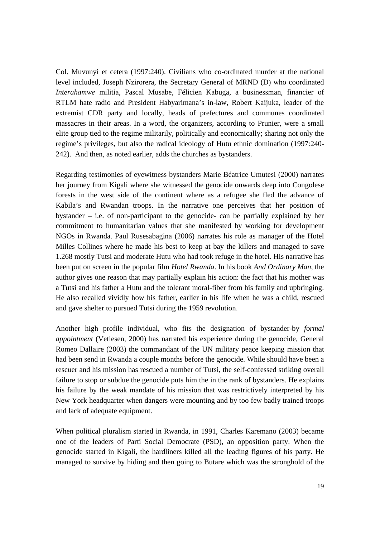Col. Muvunyi et cetera (1997:240). Civilians who co-ordinated murder at the national level included, Joseph Nzirorera, the Secretary General of MRND (D) who coordinated *Interahamwe* militia, Pascal Musabe, Félicien Kabuga, a businessman, financier of RTLM hate radio and President Habyarimana's in-law, Robert Kaijuka, leader of the extremist CDR party and locally, heads of prefectures and communes coordinated massacres in their areas. In a word, the organizers, according to Prunier, were a small elite group tied to the regime militarily, politically and economically; sharing not only the regime's privileges, but also the radical ideology of Hutu ethnic domination (1997:240- 242). And then, as noted earlier, adds the churches as bystanders.

Regarding testimonies of eyewitness bystanders Marie Béatrice Umutesi (2000) narrates her journey from Kigali where she witnessed the genocide onwards deep into Congolese forests in the west side of the continent where as a refugee she fled the advance of Kabila's and Rwandan troops. In the narrative one perceives that her position of bystander – i.e. of non-participant to the genocide- can be partially explained by her commitment to humanitarian values that she manifested by working for development NGOs in Rwanda. Paul Rusesabagina (2006) narrates his role as manager of the Hotel Milles Collines where he made his best to keep at bay the killers and managed to save 1.268 mostly Tutsi and moderate Hutu who had took refuge in the hotel. His narrative has been put on screen in the popular film *Hotel Rwanda*. In his book *And Ordinary Man*, the author gives one reason that may partially explain his action: the fact that his mother was a Tutsi and his father a Hutu and the tolerant moral-fiber from his family and upbringing. He also recalled vividly how his father, earlier in his life when he was a child, rescued and gave shelter to pursued Tutsi during the 1959 revolution.

Another high profile individual, who fits the designation of bystander-by *formal appointment* (Vetlesen, 2000) has narrated his experience during the genocide, General Romeo Dallaire (2003) the commandant of the UN military peace keeping mission that had been send in Rwanda a couple months before the genocide. While should have been a rescuer and his mission has rescued a number of Tutsi, the self-confessed striking overall failure to stop or subdue the genocide puts him the in the rank of bystanders. He explains his failure by the weak mandate of his mission that was restrictively interpreted by his New York headquarter when dangers were mounting and by too few badly trained troops and lack of adequate equipment.

When political pluralism started in Rwanda, in 1991, Charles Karemano (2003) became one of the leaders of Parti Social Democrate (PSD), an opposition party. When the genocide started in Kigali, the hardliners killed all the leading figures of his party. He managed to survive by hiding and then going to Butare which was the stronghold of the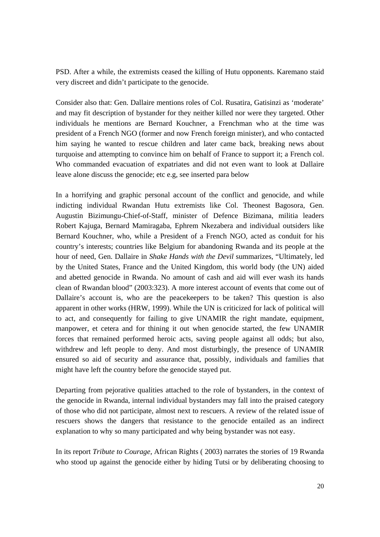PSD. After a while, the extremists ceased the killing of Hutu opponents. Karemano staid very discreet and didn't participate to the genocide.

Consider also that: Gen. Dallaire mentions roles of Col. Rusatira, Gatisinzi as 'moderate' and may fit description of bystander for they neither killed nor were they targeted. Other individuals he mentions are Bernard Kouchner, a Frenchman who at the time was president of a French NGO (former and now French foreign minister), and who contacted him saying he wanted to rescue children and later came back, breaking news about turquoise and attempting to convince him on behalf of France to support it; a French col. Who commanded evacuation of expatriates and did not even want to look at Dallaire leave alone discuss the genocide; etc e.g, see inserted para below

In a horrifying and graphic personal account of the conflict and genocide, and while indicting individual Rwandan Hutu extremists like Col. Theonest Bagosora, Gen. Augustin Bizimungu-Chief-of-Staff, minister of Defence Bizimana, militia leaders Robert Kajuga, Bernard Mamiragaba, Ephrem Nkezabera and individual outsiders like Bernard Kouchner, who, while a President of a French NGO, acted as conduit for his country's interests; countries like Belgium for abandoning Rwanda and its people at the hour of need, Gen. Dallaire in *Shake Hands with the Devil* summarizes, "Ultimately, led by the United States, France and the United Kingdom, this world body (the UN) aided and abetted genocide in Rwanda. No amount of cash and aid will ever wash its hands clean of Rwandan blood" (2003:323). A more interest account of events that come out of Dallaire's account is, who are the peacekeepers to be taken? This question is also apparent in other works (HRW, 1999). While the UN is criticized for lack of political will to act, and consequently for failing to give UNAMIR the right mandate, equipment, manpower, et cetera and for thining it out when genocide started, the few UNAMIR forces that remained performed heroic acts, saving people against all odds; but also, withdrew and left people to deny. And most disturbingly, the presence of UNAMIR ensured so aid of security and assurance that, possibly, individuals and families that might have left the country before the genocide stayed put.

Departing from pejorative qualities attached to the role of bystanders, in the context of the genocide in Rwanda, internal individual bystanders may fall into the praised category of those who did not participate, almost next to rescuers. A review of the related issue of rescuers shows the dangers that resistance to the genocide entailed as an indirect explanation to why so many participated and why being bystander was not easy.

In its report *Tribute to Courage*, African Rights ( 2003) narrates the stories of 19 Rwanda who stood up against the genocide either by hiding Tutsi or by deliberating choosing to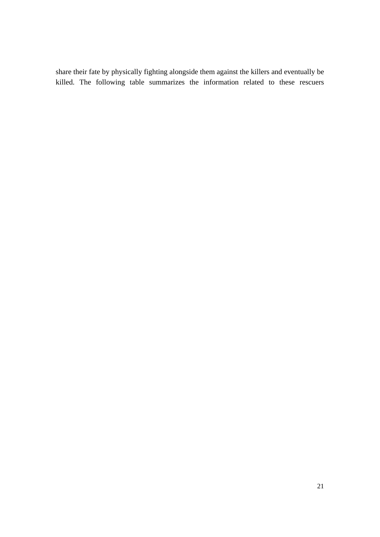share their fate by physically fighting alongside them against the killers and eventually be killed. The following table summarizes the information related to these rescuers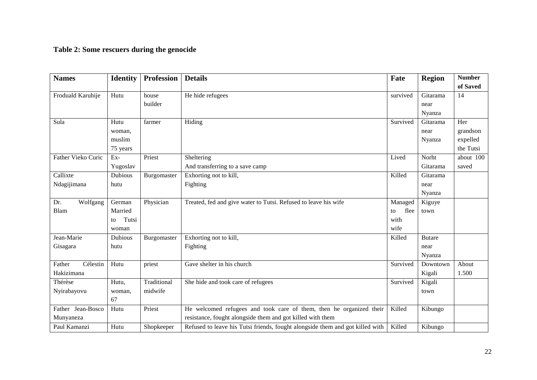# **Table 2: Some rescuers during the genocide**

| <b>Names</b>       | <b>Identity</b> | <b>Profession</b> | <b>Details</b>                                                                | Fate       | <b>Region</b> | <b>Number</b> |
|--------------------|-----------------|-------------------|-------------------------------------------------------------------------------|------------|---------------|---------------|
|                    |                 |                   |                                                                               |            |               | of Saved      |
| Froduald Karuhije  | Hutu            | house             | He hide refugees                                                              | survived   | Gitarama      | 14            |
|                    |                 | builder           |                                                                               |            | near          |               |
|                    |                 |                   |                                                                               |            | Nyanza        |               |
| Sula               | Hutu            | farmer            | Hiding                                                                        | Survived   | Gitarama      | Her           |
|                    | woman,          |                   |                                                                               |            | near          | grandson      |
|                    | muslim          |                   |                                                                               |            | Nyanza        | expelled      |
|                    | 75 years        |                   |                                                                               |            |               | the Tutsi     |
| Father Vieko Curic | Ex-             | Priest            | Sheltering                                                                    | Lived      | Norht         | about 100     |
|                    | Yugoslav        |                   | And transferring to a save camp                                               |            | Gitarama      | saved         |
| Callixte           | <b>Dubious</b>  | Burgomaster       | Exhorting not to kill,                                                        | Killed     | Gitarama      |               |
| Ndagijimana        | hutu            |                   | Fighting                                                                      |            | near          |               |
|                    |                 |                   |                                                                               |            | Nyanza        |               |
| Wolfgang<br>Dr.    | German          | Physician         | Treated, fed and give water to Tutsi. Refused to leave his wife               | Managed    | Kiguye        |               |
| Blam               | Married         |                   |                                                                               | flee<br>to | town          |               |
|                    | Tutsi<br>to     |                   |                                                                               | with       |               |               |
|                    | woman           |                   |                                                                               | wife       |               |               |
| Jean-Marie         | Dubious         | Burgomaster       | Exhorting not to kill,                                                        | Killed     | <b>Butare</b> |               |
| Gisagara           | hutu            |                   | Fighting                                                                      |            | near          |               |
|                    |                 |                   |                                                                               |            | Nyanza        |               |
| Father<br>Célestin | Hutu            | priest            | Gave shelter in his church                                                    | Survived   | Downtown      | About         |
| Hakizimana         |                 |                   |                                                                               |            | Kigali        | 1.500         |
| Thérèse            | Hutu,           | Traditional       | She hide and took care of refugees                                            | Survived   | Kigali        |               |
| Nyirabayovu        | woman,          | midwife           |                                                                               |            | town          |               |
|                    | 67              |                   |                                                                               |            |               |               |
| Father Jean-Bosco  | Hutu            | Priest            | He welcomed refugees and took care of them, then he organized their           | Killed     | Kibungo       |               |
| Munyaneza          |                 |                   | resistance, fought alongside them and got killed with them                    |            |               |               |
| Paul Kamanzi       | Hutu            | Shopkeeper        | Refused to leave his Tutsi friends, fought alongside them and got killed with | Killed     | Kibungo       |               |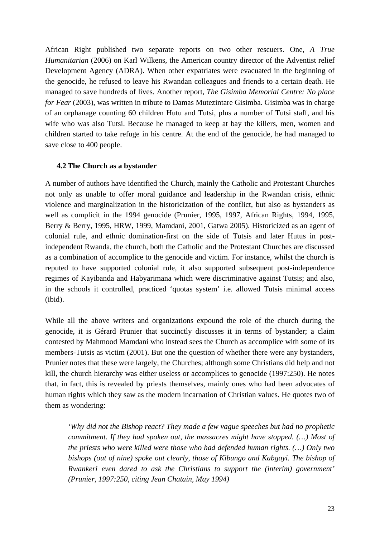African Right published two separate reports on two other rescuers. One, *A True Humanitarian* (2006) on Karl Wilkens, the American country director of the Adventist relief Development Agency (ADRA). When other expatriates were evacuated in the beginning of the genocide, he refused to leave his Rwandan colleagues and friends to a certain death. He managed to save hundreds of lives. Another report, *The Gisimba Memorial Centre: No place for Fear* (2003), was written in tribute to Damas Mutezintare Gisimba. Gisimba was in charge of an orphanage counting 60 children Hutu and Tutsi, plus a number of Tutsi staff, and his wife who was also Tutsi. Because he managed to keep at bay the killers, men, women and children started to take refuge in his centre. At the end of the genocide, he had managed to save close to 400 people.

# **4.2 The Church as a bystander**

A number of authors have identified the Church, mainly the Catholic and Protestant Churches not only as unable to offer moral guidance and leadership in the Rwandan crisis, ethnic violence and marginalization in the historicization of the conflict, but also as bystanders as well as complicit in the 1994 genocide (Prunier, 1995, 1997, African Rights, 1994, 1995, Berry & Berry, 1995, HRW, 1999, Mamdani, 2001, Gatwa 2005). Historicized as an agent of colonial rule, and ethnic domination-first on the side of Tutsis and later Hutus in postindependent Rwanda, the church, both the Catholic and the Protestant Churches are discussed as a combination of accomplice to the genocide and victim. For instance, whilst the church is reputed to have supported colonial rule, it also supported subsequent post-independence regimes of Kayibanda and Habyarimana which were discriminative against Tutsis; and also, in the schools it controlled, practiced 'quotas system' i.e. allowed Tutsis minimal access (ibid).

While all the above writers and organizations expound the role of the church during the genocide, it is Gérard Prunier that succinctly discusses it in terms of bystander; a claim contested by Mahmood Mamdani who instead sees the Church as accomplice with some of its members-Tutsis as victim (2001). But one the question of whether there were any bystanders, Prunier notes that these were largely, the Churches; although some Christians did help and not kill, the church hierarchy was either useless or accomplices to genocide (1997:250). He notes that, in fact, this is revealed by priests themselves, mainly ones who had been advocates of human rights which they saw as the modern incarnation of Christian values. He quotes two of them as wondering:

*'Why did not the Bishop react? They made a few vague speeches but had no prophetic commitment. If they had spoken out, the massacres might have stopped. (…) Most of the priests who were killed were those who had defended human rights. (…) Only two bishops (out of nine) spoke out clearly, those of Kibungo and Kabgayi. The bishop of Rwankeri even dared to ask the Christians to support the (interim) government' (Prunier, 1997:250, citing Jean Chatain, May 1994)*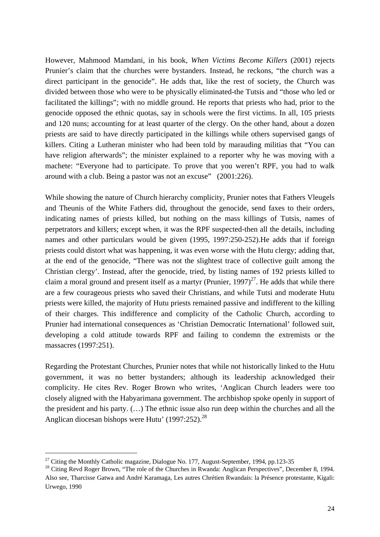However, Mahmood Mamdani, in his book, *When Victims Become Killers* (2001) rejects Prunier's claim that the churches were bystanders. Instead, he reckons, "the church was a direct participant in the genocide". He adds that, like the rest of society, the Church was divided between those who were to be physically eliminated-the Tutsis and "those who led or facilitated the killings"; with no middle ground. He reports that priests who had, prior to the genocide opposed the ethnic quotas, say in schools were the first victims. In all, 105 priests and 120 nuns; accounting for at least quarter of the clergy. On the other hand, about a dozen priests are said to have directly participated in the killings while others supervised gangs of killers. Citing a Lutheran minister who had been told by marauding militias that "You can have religion afterwards"; the minister explained to a reporter why he was moving with a machete: "Everyone had to participate. To prove that you weren't RPF, you had to walk around with a club. Being a pastor was not an excuse" (2001:226).

While showing the nature of Church hierarchy complicity, Prunier notes that Fathers Vleugels and Theunis of the White Fathers did, throughout the genocide, send faxes to their orders, indicating names of priests killed, but nothing on the mass killings of Tutsis, names of perpetrators and killers; except when, it was the RPF suspected-then all the details, including names and other particulars would be given (1995, 1997:250-252).He adds that if foreign priests could distort what was happening, it was even worse with the Hutu clergy; adding that, at the end of the genocide, "There was not the slightest trace of collective guilt among the Christian clergy'. Instead, after the genocide, tried, by listing names of 192 priests killed to claim a moral ground and present itself as a martyr (Prunier,  $1997)^{27}$ . He adds that while there are a few courageous priests who saved their Christians, and while Tutsi and moderate Hutu priests were killed, the majority of Hutu priests remained passive and indifferent to the killing of their charges. This indifference and complicity of the Catholic Church, according to Prunier had international consequences as 'Christian Democratic International' followed suit, developing a cold attitude towards RPF and failing to condemn the extremists or the massacres (1997:251).

Regarding the Protestant Churches, Prunier notes that while not historically linked to the Hutu government, it was no better bystanders; although its leadership acknowledged their complicity. He cites Rev. Roger Brown who writes, 'Anglican Church leaders were too closely aligned with the Habyarimana government. The archbishop spoke openly in support of the president and his party. (…) The ethnic issue also run deep within the churches and all the Anglican diocesan bishops were Hutu' (1997:252).<sup>28</sup>

1

<sup>&</sup>lt;sup>27</sup> Citing the Monthly Catholic magazine, Dialogue No. 177, August-September, 1994, pp.123-35

<sup>&</sup>lt;sup>28</sup> Citing Revd Roger Brown, "The role of the Churches in Rwanda: Anglican Perspectives", December 8, 1994. Also see, Tharcisse Gatwa and André Karamaga, Les autres Chrétien Rwandais: la Présence protestante, Kigali: Urwego, 1990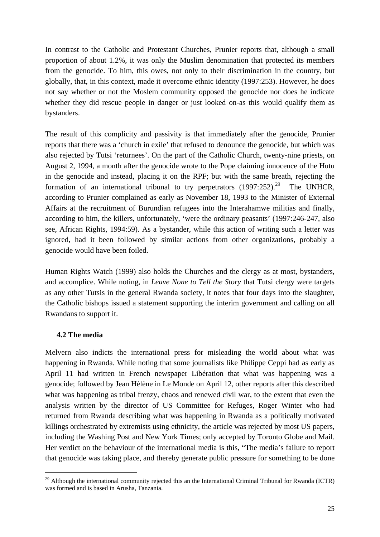In contrast to the Catholic and Protestant Churches, Prunier reports that, although a small proportion of about 1.2%, it was only the Muslim denomination that protected its members from the genocide. To him, this owes, not only to their discrimination in the country, but globally, that, in this context, made it overcome ethnic identity (1997:253). However, he does not say whether or not the Moslem community opposed the genocide nor does he indicate whether they did rescue people in danger or just looked on-as this would qualify them as bystanders.

The result of this complicity and passivity is that immediately after the genocide, Prunier reports that there was a 'church in exile' that refused to denounce the genocide, but which was also rejected by Tutsi 'returnees'. On the part of the Catholic Church, twenty-nine priests, on August 2, 1994, a month after the genocide wrote to the Pope claiming innocence of the Hutu in the genocide and instead, placing it on the RPF; but with the same breath, rejecting the formation of an international tribunal to try perpetrators  $(1997:252).^{29}$  The UNHCR, according to Prunier complained as early as November 18, 1993 to the Minister of External Affairs at the recruitment of Burundian refugees into the Interahamwe militias and finally, according to him, the killers, unfortunately, 'were the ordinary peasants' (1997:246-247, also see, African Rights, 1994:59). As a bystander, while this action of writing such a letter was ignored, had it been followed by similar actions from other organizations, probably a genocide would have been foiled.

Human Rights Watch (1999) also holds the Churches and the clergy as at most, bystanders, and accomplice. While noting, in *Leave None to Tell the Story* that Tutsi clergy were targets as any other Tutsis in the general Rwanda society, it notes that four days into the slaughter, the Catholic bishops issued a statement supporting the interim government and calling on all Rwandans to support it.

# **4.2 The media**

1

Melvern also indicts the international press for misleading the world about what was happening in Rwanda. While noting that some journalists like Philippe Ceppi had as early as April 11 had written in French newspaper Libération that what was happening was a genocide; followed by Jean Hélène in Le Monde on April 12, other reports after this described what was happening as tribal frenzy, chaos and renewed civil war, to the extent that even the analysis written by the director of US Committee for Refuges, Roger Winter who had returned from Rwanda describing what was happening in Rwanda as a politically motivated killings orchestrated by extremists using ethnicity, the article was rejected by most US papers, including the Washing Post and New York Times; only accepted by Toronto Globe and Mail. Her verdict on the behaviour of the international media is this, "The media's failure to report that genocide was taking place, and thereby generate public pressure for something to be done

<sup>&</sup>lt;sup>29</sup> Although the international community rejected this an the International Criminal Tribunal for Rwanda (ICTR) was formed and is based in Arusha, Tanzania.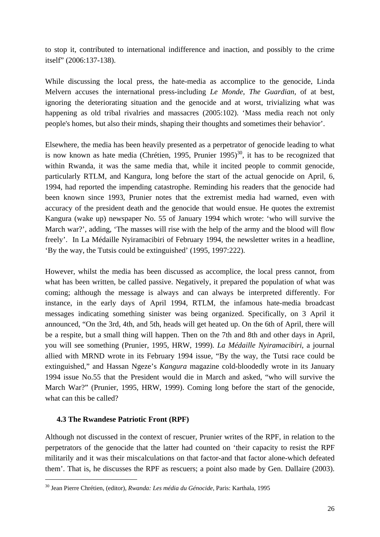to stop it, contributed to international indifference and inaction, and possibly to the crime itself" (2006:137-138).

While discussing the local press, the hate-media as accomplice to the genocide, Linda Melvern accuses the international press-including *Le Monde*, *The Guardian*, of at best, ignoring the deteriorating situation and the genocide and at worst, trivializing what was happening as old tribal rivalries and massacres (2005:102). 'Mass media reach not only people's homes, but also their minds, shaping their thoughts and sometimes their behavior'.

Elsewhere, the media has been heavily presented as a perpetrator of genocide leading to what is now known as hate media (Chrétien, 1995, Prunier 1995)<sup>30</sup>, it has to be recognized that within Rwanda, it was the same media that, while it incited people to commit genocide, particularly RTLM, and Kangura, long before the start of the actual genocide on April, 6, 1994, had reported the impending catastrophe. Reminding his readers that the genocide had been known since 1993, Prunier notes that the extremist media had warned, even with accuracy of the president death and the genocide that would ensue. He quotes the extremist Kangura (wake up) newspaper No. 55 of January 1994 which wrote: 'who will survive the March war?', adding, 'The masses will rise with the help of the army and the blood will flow freely'. In La Médaille Nyiramacibiri of February 1994, the newsletter writes in a headline, 'By the way, the Tutsis could be extinguished' (1995, 1997:222).

However, whilst the media has been discussed as accomplice, the local press cannot, from what has been written, be called passive. Negatively, it prepared the population of what was coming; although the message is always and can always be interpreted differently. For instance, in the early days of April 1994, RTLM, the infamous hate-media broadcast messages indicating something sinister was being organized. Specifically, on 3 April it announced, "On the 3rd, 4th, and 5th, heads will get heated up. On the 6th of April, there will be a respite, but a small thing will happen. Then on the 7th and 8th and other days in April, you will see something (Prunier, 1995, HRW, 1999). *La Médaille Nyiramacibiri*, a journal allied with MRND wrote in its February 1994 issue, "By the way, the Tutsi race could be extinguished," and Hassan Ngeze's *Kangura* magazine cold-bloodedly wrote in its January 1994 issue No.55 that the President would die in March and asked, "who will survive the March War?" (Prunier, 1995, HRW, 1999). Coming long before the start of the genocide, what can this be called?

#### **4.3 The Rwandese Patriotic Front (RPF)**

1

Although not discussed in the context of rescuer, Prunier writes of the RPF, in relation to the perpetrators of the genocide that the latter had counted on 'their capacity to resist the RPF militarily and it was their miscalculations on that factor-and that factor alone-which defeated them'. That is, he discusses the RPF as rescuers; a point also made by Gen. Dallaire (2003).

<sup>30</sup> Jean Pierre Chrétien, (editor), *Rwanda: Les média du Génocide*, Paris: Karthala, 1995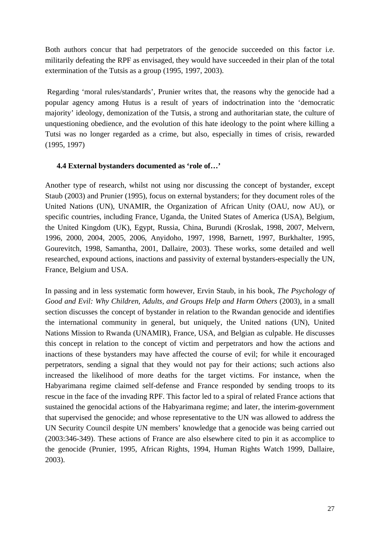Both authors concur that had perpetrators of the genocide succeeded on this factor i.e. militarily defeating the RPF as envisaged, they would have succeeded in their plan of the total extermination of the Tutsis as a group (1995, 1997, 2003).

 Regarding 'moral rules/standards', Prunier writes that, the reasons why the genocide had a popular agency among Hutus is a result of years of indoctrination into the 'democratic majority' ideology, demonization of the Tutsis, a strong and authoritarian state, the culture of unquestioning obedience, and the evolution of this hate ideology to the point where killing a Tutsi was no longer regarded as a crime, but also, especially in times of crisis, rewarded (1995, 1997)

# **4.4 External bystanders documented as 'role of…'**

Another type of research, whilst not using nor discussing the concept of bystander, except Staub (2003) and Prunier (1995), focus on external bystanders; for they document roles of the United Nations (UN), UNAMIR, the Organization of African Unity (OAU, now AU), or specific countries, including France, Uganda, the United States of America (USA), Belgium, the United Kingdom (UK), Egypt, Russia, China, Burundi (Kroslak, 1998, 2007, Melvern, 1996, 2000, 2004, 2005, 2006, Anyidoho, 1997, 1998, Barnett, 1997, Burkhalter, 1995, Gourevitch, 1998, Samantha, 2001, Dallaire, 2003). These works, some detailed and well researched, expound actions, inactions and passivity of external bystanders-especially the UN, France, Belgium and USA.

In passing and in less systematic form however, Ervin Staub, in his book, *The Psychology of Good and Evil: Why Children, Adults, and Groups Help and Harm Others* (2003), in a small section discusses the concept of bystander in relation to the Rwandan genocide and identifies the international community in general, but uniquely, the United nations (UN), United Nations Mission to Rwanda (UNAMIR), France, USA, and Belgian as culpable. He discusses this concept in relation to the concept of victim and perpetrators and how the actions and inactions of these bystanders may have affected the course of evil; for while it encouraged perpetrators, sending a signal that they would not pay for their actions; such actions also increased the likelihood of more deaths for the target victims. For instance, when the Habyarimana regime claimed self-defense and France responded by sending troops to its rescue in the face of the invading RPF. This factor led to a spiral of related France actions that sustained the genocidal actions of the Habyarimana regime; and later, the interim-government that supervised the genocide; and whose representative to the UN was allowed to address the UN Security Council despite UN members' knowledge that a genocide was being carried out (2003:346-349). These actions of France are also elsewhere cited to pin it as accomplice to the genocide (Prunier, 1995, African Rights, 1994, Human Rights Watch 1999, Dallaire, 2003).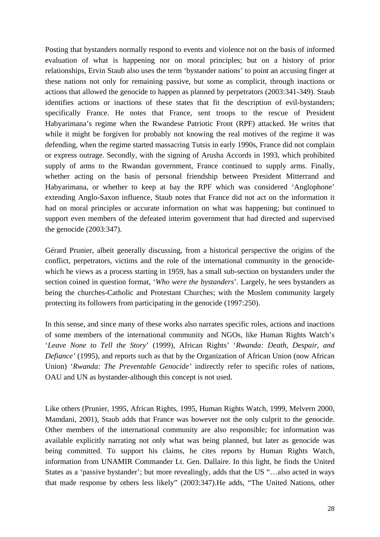Posting that bystanders normally respond to events and violence not on the basis of informed evaluation of what is happening nor on moral principles; but on a history of prior relationships, Ervin Staub also uses the term 'bystander nations' to point an accusing finger at these nations not only for remaining passive, but some as complicit, through inactions or actions that allowed the genocide to happen as planned by perpetrators (2003:341-349). Staub identifies actions or inactions of these states that fit the description of evil-bystanders; specifically France. He notes that France, sent troops to the rescue of President Habyarimana's regime when the Rwandese Patriotic Front (RPF) attacked. He writes that while it might be forgiven for probably not knowing the real motives of the regime it was defending, when the regime started massacring Tutsis in early 1990s, France did not complain or express outrage. Secondly, with the signing of Arusha Accords in 1993, which prohibited supply of arms to the Rwandan government, France continued to supply arms. Finally, whether acting on the basis of personal friendship between President Mitterrand and Habyarimana, or whether to keep at bay the RPF which was considered 'Anglophone' extending Anglo-Saxon influence, Staub notes that France did not act on the information it had on moral principles or accurate information on what was happening; but continued to support even members of the defeated interim government that had directed and supervised the genocide (2003:347).

Gérard Prunier, albeit generally discussing, from a historical perspective the origins of the conflict, perpetrators, victims and the role of the international community in the genocidewhich he views as a process starting in 1959, has a small sub-section on bystanders under the section coined in question format, '*Who were the bystanders*'. Largely, he sees bystanders as being the churches-Catholic and Protestant Churches; with the Moslem community largely protecting its followers from participating in the genocide (1997:250).

In this sense, and since many of these works also narrates specific roles, actions and inactions of some members of the international community and NGOs, like Human Rights Watch's '*Leave None to Tell the Story*' (1999), African Rights' '*Rwanda: Death, Despair, and Defiance'* (1995), and reports such as that by the Organization of African Union (now African Union) '*Rwanda: The Preventable Genocide'* indirectly refer to specific roles of nations, OAU and UN as bystander-although this concept is not used.

Like others (Prunier, 1995, African Rights, 1995, Human Rights Watch, 1999, Melvern 2000, Mamdani, 2001), Staub adds that France was however not the only culprit to the genocide. Other members of the international community are also responsible; for information was available explicitly narrating not only what was being planned, but later as genocide was being committed. To support his claims, he cites reports by Human Rights Watch, information from UNAMIR Commander Lt. Gen. Dallaire. In this light, he finds the United States as a 'passive bystander'; but more revealingly, adds that the US "…also acted in ways that made response by others less likely" (2003:347).He adds, "The United Nations, other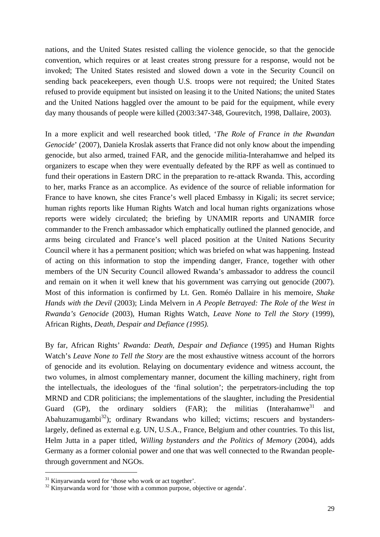nations, and the United States resisted calling the violence genocide, so that the genocide convention, which requires or at least creates strong pressure for a response, would not be invoked; The United States resisted and slowed down a vote in the Security Council on sending back peacekeepers, even though U.S. troops were not required; the United States refused to provide equipment but insisted on leasing it to the United Nations; the united States and the United Nations haggled over the amount to be paid for the equipment, while every day many thousands of people were killed (2003:347-348, Gourevitch, 1998, Dallaire, 2003).

In a more explicit and well researched book titled, '*The Role of France in the Rwandan Genocide*' (2007), Daniela Kroslak asserts that France did not only know about the impending genocide, but also armed, trained FAR, and the genocide militia-Interahamwe and helped its organizers to escape when they were eventually defeated by the RPF as well as continued to fund their operations in Eastern DRC in the preparation to re-attack Rwanda. This, according to her, marks France as an accomplice. As evidence of the source of reliable information for France to have known, she cites France's well placed Embassy in Kigali; its secret service; human rights reports like Human Rights Watch and local human rights organizations whose reports were widely circulated; the briefing by UNAMIR reports and UNAMIR force commander to the French ambassador which emphatically outlined the planned genocide, and arms being circulated and France's well placed position at the United Nations Security Council where it has a permanent position; which was briefed on what was happening. Instead of acting on this information to stop the impending danger, France, together with other members of the UN Security Council allowed Rwanda's ambassador to address the council and remain on it when it well knew that his government was carrying out genocide (2007). Most of this information is confirmed by Lt. Gen. Roméo Dallaire in his memoire, *Shake Hands with the Devil* (2003); Linda Melvern in *A People Betrayed: The Role of the West in Rwanda's Genocide* (2003), Human Rights Watch, *Leave None to Tell the Story* (1999), African Rights, *Death, Despair and Defiance (1995).* 

By far, African Rights' *Rwanda: Death, Despair and Defiance* (1995) and Human Rights Watch's *Leave None to Tell the Story* are the most exhaustive witness account of the horrors of genocide and its evolution. Relaying on documentary evidence and witness account, the two volumes, in almost complementary manner, document the killing machinery, right from the intellectuals, the ideologues of the 'final solution'; the perpetrators-including the top MRND and CDR politicians; the implementations of the slaughter, including the Presidential Guard (GP), the ordinary soldiers (FAR); the militias (Interahamwe<sup>31</sup> and Abahuzamugambi<sup>32</sup>); ordinary Rwandans who killed; victims; rescuers and bystanderslargely, defined as external e.g. UN, U.S.A., France, Belgium and other countries. To this list, Helm Jutta in a paper titled, *Willing bystanders and the Politics of Memory* (2004), adds Germany as a former colonial power and one that was well connected to the Rwandan peoplethrough government and NGOs.

1

<sup>&</sup>lt;sup>31</sup> Kinyarwanda word for 'those who work or act together'.

 $32$  Kinyarwanda word for 'those with a common purpose, objective or agenda'.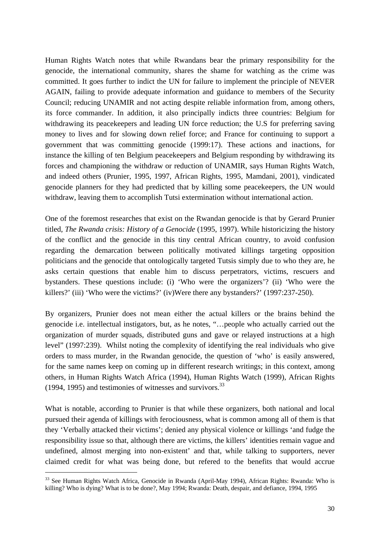Human Rights Watch notes that while Rwandans bear the primary responsibility for the genocide, the international community, shares the shame for watching as the crime was committed. It goes further to indict the UN for failure to implement the principle of NEVER AGAIN, failing to provide adequate information and guidance to members of the Security Council; reducing UNAMIR and not acting despite reliable information from, among others, its force commander. In addition, it also principally indicts three countries: Belgium for withdrawing its peacekeepers and leading UN force reduction; the U.S for preferring saving money to lives and for slowing down relief force; and France for continuing to support a government that was committing genocide (1999:17). These actions and inactions, for instance the killing of ten Belgium peacekeepers and Belgium responding by withdrawing its forces and championing the withdraw or reduction of UNAMIR, says Human Rights Watch, and indeed others (Prunier, 1995, 1997, African Rights, 1995, Mamdani, 2001), vindicated genocide planners for they had predicted that by killing some peacekeepers, the UN would withdraw, leaving them to accomplish Tutsi extermination without international action.

One of the foremost researches that exist on the Rwandan genocide is that by Gerard Prunier titled, *The Rwanda crisis: History of a Genocide* (1995, 1997). While historicizing the history of the conflict and the genocide in this tiny central African country, to avoid confusion regarding the demarcation between politically motivated killings targeting opposition politicians and the genocide that ontologically targeted Tutsis simply due to who they are, he asks certain questions that enable him to discuss perpetrators, victims, rescuers and bystanders. These questions include: (i) 'Who were the organizers'? (ii) 'Who were the killers?' (iii) 'Who were the victims?' (iv)Were there any bystanders?' (1997:237-250).

By organizers, Prunier does not mean either the actual killers or the brains behind the genocide i.e. intellectual instigators, but, as he notes, "…people who actually carried out the organization of murder squads, distributed guns and gave or relayed instructions at a high level" (1997:239). Whilst noting the complexity of identifying the real individuals who give orders to mass murder, in the Rwandan genocide, the question of 'who' is easily answered, for the same names keep on coming up in different research writings; in this context, among others, in Human Rights Watch Africa (1994), Human Rights Watch (1999), African Rights (1994, 1995) and testimonies of witnesses and survivors. $^{33}$ 

What is notable, according to Prunier is that while these organizers, both national and local pursued their agenda of killings with ferociousness, what is common among all of them is that they 'Verbally attacked their victims'; denied any physical violence or killings 'and fudge the responsibility issue so that, although there are victims, the killers' identities remain vague and undefined, almost merging into non-existent' and that, while talking to supporters, never claimed credit for what was being done, but refered to the benefits that would accrue

1

<sup>&</sup>lt;sup>33</sup> See Human Rights Watch Africa, Genocide in Rwanda (April-May 1994), African Rights: Rwanda: Who is killing? Who is dying? What is to be done?, May 1994; Rwanda: Death, despair, and defiance, 1994, 1995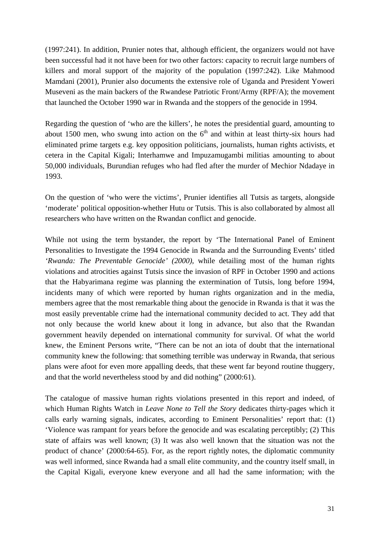(1997:241). In addition, Prunier notes that, although efficient, the organizers would not have been successful had it not have been for two other factors: capacity to recruit large numbers of killers and moral support of the majority of the population (1997:242). Like Mahmood Mamdani (2001), Prunier also documents the extensive role of Uganda and President Yoweri Museveni as the main backers of the Rwandese Patriotic Front/Army (RPF/A); the movement that launched the October 1990 war in Rwanda and the stoppers of the genocide in 1994.

Regarding the question of 'who are the killers', he notes the presidential guard, amounting to about 1500 men, who swung into action on the  $6<sup>th</sup>$  and within at least thirty-six hours had eliminated prime targets e.g. key opposition politicians, journalists, human rights activists, et cetera in the Capital Kigali; Interhamwe and Impuzamugambi militias amounting to about 50,000 individuals, Burundian refuges who had fled after the murder of Mechior Ndadaye in 1993.

On the question of 'who were the victims', Prunier identifies all Tutsis as targets, alongside 'moderate' political opposition-whether Hutu or Tutsis. This is also collaborated by almost all researchers who have written on the Rwandan conflict and genocide.

While not using the term bystander, the report by 'The International Panel of Eminent Personalities to Investigate the 1994 Genocide in Rwanda and the Surrounding Events' titled *'Rwanda: The Preventable Genocide' (2000)*, while detailing most of the human rights violations and atrocities against Tutsis since the invasion of RPF in October 1990 and actions that the Habyarimana regime was planning the extermination of Tutsis, long before 1994, incidents many of which were reported by human rights organization and in the media, members agree that the most remarkable thing about the genocide in Rwanda is that it was the most easily preventable crime had the international community decided to act. They add that not only because the world knew about it long in advance, but also that the Rwandan government heavily depended on international community for survival. Of what the world knew, the Eminent Persons write, "There can be not an iota of doubt that the international community knew the following: that something terrible was underway in Rwanda, that serious plans were afoot for even more appalling deeds, that these went far beyond routine thuggery, and that the world nevertheless stood by and did nothing" (2000:61).

The catalogue of massive human rights violations presented in this report and indeed, of which Human Rights Watch in *Leave None to Tell the Story* dedicates thirty-pages which it calls early warning signals, indicates, according to Eminent Personalities' report that: (1) 'Violence was rampant for years before the genocide and was escalating perceptibly; (2) This state of affairs was well known; (3) It was also well known that the situation was not the product of chance' (2000:64-65). For, as the report rightly notes, the diplomatic community was well informed, since Rwanda had a small elite community, and the country itself small, in the Capital Kigali, everyone knew everyone and all had the same information; with the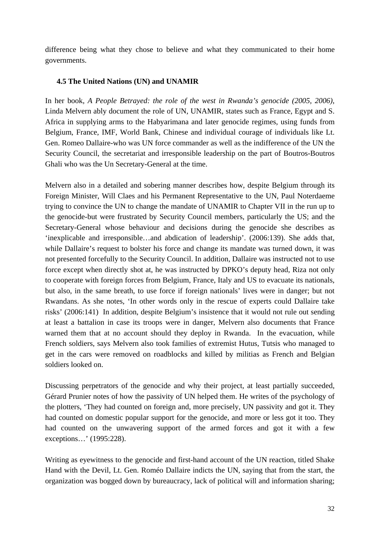difference being what they chose to believe and what they communicated to their home governments.

# **4.5 The United Nations (UN) and UNAMIR**

In her book, *A People Betrayed: the role of the west in Rwanda's genocide (2005, 2006)*, Linda Melvern ably document the role of UN, UNAMIR, states such as France, Egypt and S. Africa in supplying arms to the Habyarimana and later genocide regimes, using funds from Belgium, France, IMF, World Bank, Chinese and individual courage of individuals like Lt. Gen. Romeo Dallaire-who was UN force commander as well as the indifference of the UN the Security Council, the secretariat and irresponsible leadership on the part of Boutros-Boutros Ghali who was the Un Secretary-General at the time.

Melvern also in a detailed and sobering manner describes how, despite Belgium through its Foreign Minister, Will Claes and his Permanent Representative to the UN, Paul Noterdaeme trying to convince the UN to change the mandate of UNAMIR to Chapter VII in the run up to the genocide-but were frustrated by Security Council members, particularly the US; and the Secretary-General whose behaviour and decisions during the genocide she describes as 'inexplicable and irresponsible…and abdication of leadership'. (2006:139). She adds that, while Dallaire's request to bolster his force and change its mandate was turned down, it was not presented forcefully to the Security Council. In addition, Dallaire was instructed not to use force except when directly shot at, he was instructed by DPKO's deputy head, Riza not only to cooperate with foreign forces from Belgium, France, Italy and US to evacuate its nationals, but also, in the same breath, to use force if foreign nationals' lives were in danger; but not Rwandans. As she notes, 'In other words only in the rescue of experts could Dallaire take risks' (2006:141) In addition, despite Belgium's insistence that it would not rule out sending at least a battalion in case its troops were in danger, Melvern also documents that France warned them that at no account should they deploy in Rwanda. In the evacuation, while French soldiers, says Melvern also took families of extremist Hutus, Tutsis who managed to get in the cars were removed on roadblocks and killed by militias as French and Belgian soldiers looked on.

Discussing perpetrators of the genocide and why their project, at least partially succeeded, Gérard Prunier notes of how the passivity of UN helped them. He writes of the psychology of the plotters, 'They had counted on foreign and, more precisely, UN passivity and got it. They had counted on domestic popular support for the genocide, and more or less got it too. They had counted on the unwavering support of the armed forces and got it with a few exceptions…' (1995:228).

Writing as eyewitness to the genocide and first-hand account of the UN reaction, titled Shake Hand with the Devil, Lt. Gen. Roméo Dallaire indicts the UN, saying that from the start, the organization was bogged down by bureaucracy, lack of political will and information sharing;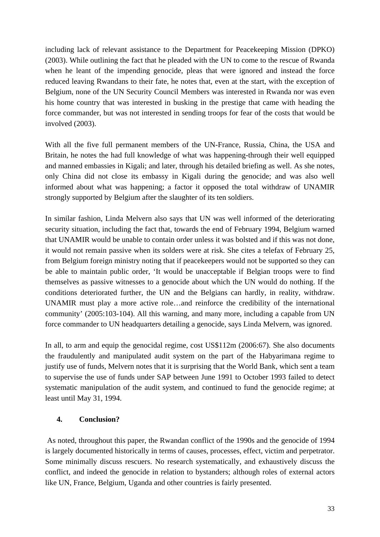including lack of relevant assistance to the Department for Peacekeeping Mission (DPKO) (2003). While outlining the fact that he pleaded with the UN to come to the rescue of Rwanda when he leant of the impending genocide, pleas that were ignored and instead the force reduced leaving Rwandans to their fate, he notes that, even at the start, with the exception of Belgium, none of the UN Security Council Members was interested in Rwanda nor was even his home country that was interested in busking in the prestige that came with heading the force commander, but was not interested in sending troops for fear of the costs that would be involved (2003).

With all the five full permanent members of the UN-France, Russia, China, the USA and Britain, he notes the had full knowledge of what was happening-through their well equipped and manned embassies in Kigali; and later, through his detailed briefing as well. As she notes, only China did not close its embassy in Kigali during the genocide; and was also well informed about what was happening; a factor it opposed the total withdraw of UNAMIR strongly supported by Belgium after the slaughter of its ten soldiers.

In similar fashion, Linda Melvern also says that UN was well informed of the deteriorating security situation, including the fact that, towards the end of February 1994, Belgium warned that UNAMIR would be unable to contain order unless it was bolsted and if this was not done, it would not remain passive when its solders were at risk. She cites a telefax of February 25, from Belgium foreign ministry noting that if peacekeepers would not be supported so they can be able to maintain public order, 'It would be unacceptable if Belgian troops were to find themselves as passive witnesses to a genocide about which the UN would do nothing. If the conditions deteriorated further, the UN and the Belgians can hardly, in reality, withdraw. UNAMIR must play a more active role…and reinforce the credibility of the international community' (2005:103-104). All this warning, and many more, including a capable from UN force commander to UN headquarters detailing a genocide, says Linda Melvern, was ignored.

In all, to arm and equip the genocidal regime, cost US\$112m (2006:67). She also documents the fraudulently and manipulated audit system on the part of the Habyarimana regime to justify use of funds, Melvern notes that it is surprising that the World Bank, which sent a team to supervise the use of funds under SAP between June 1991 to October 1993 failed to detect systematic manipulation of the audit system, and continued to fund the genocide regime; at least until May 31, 1994.

# **4. Conclusion?**

 As noted, throughout this paper, the Rwandan conflict of the 1990s and the genocide of 1994 is largely documented historically in terms of causes, processes, effect, victim and perpetrator. Some minimally discuss rescuers. No research systematically, and exhaustively discuss the conflict, and indeed the genocide in relation to bystanders; although roles of external actors like UN, France, Belgium, Uganda and other countries is fairly presented.